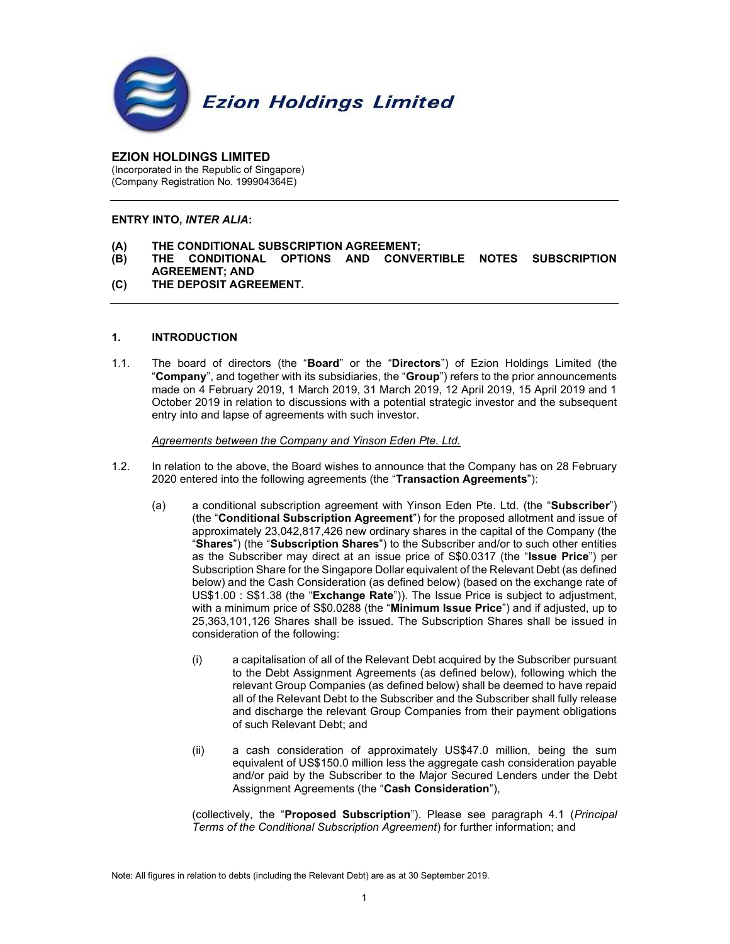

#### EZION HOLDINGS LIMITED (Incorporated in the Republic of Singapore) (Company Registration No. 199904364E)

### ENTRY INTO, INTER ALIA:

- (A) THE CONDITIONAL SUBSCRIPTION AGREEMENT;
- (B) THE CONDITIONAL OPTIONS AND CONVERTIBLE NOTES SUBSCRIPTION AGREEMENT; AND
- (C) THE DEPOSIT AGREEMENT.

### 1. INTRODUCTION

1.1. The board of directors (the "Board" or the "Directors") of Ezion Holdings Limited (the "Company", and together with its subsidiaries, the "Group") refers to the prior announcements made on 4 February 2019, 1 March 2019, 31 March 2019, 12 April 2019, 15 April 2019 and 1 October 2019 in relation to discussions with a potential strategic investor and the subsequent entry into and lapse of agreements with such investor.

Agreements between the Company and Yinson Eden Pte. Ltd.

- 1.2. In relation to the above, the Board wishes to announce that the Company has on 28 February 2020 entered into the following agreements (the "Transaction Agreements"):
	- (a) a conditional subscription agreement with Yinson Eden Pte. Ltd. (the "Subscriber") (the "Conditional Subscription Agreement") for the proposed allotment and issue of approximately 23,042,817,426 new ordinary shares in the capital of the Company (the "Shares") (the "Subscription Shares") to the Subscriber and/or to such other entities as the Subscriber may direct at an issue price of S\$0.0317 (the "Issue Price") per Subscription Share for the Singapore Dollar equivalent of the Relevant Debt (as defined below) and the Cash Consideration (as defined below) (based on the exchange rate of US\$1.00 : S\$1.38 (the "Exchange Rate")). The Issue Price is subject to adjustment, with a minimum price of S\$0.0288 (the "Minimum Issue Price") and if adjusted, up to 25,363,101,126 Shares shall be issued. The Subscription Shares shall be issued in consideration of the following:
		- (i) a capitalisation of all of the Relevant Debt acquired by the Subscriber pursuant to the Debt Assignment Agreements (as defined below), following which the relevant Group Companies (as defined below) shall be deemed to have repaid all of the Relevant Debt to the Subscriber and the Subscriber shall fully release and discharge the relevant Group Companies from their payment obligations of such Relevant Debt; and
		- (ii) a cash consideration of approximately US\$47.0 million, being the sum equivalent of US\$150.0 million less the aggregate cash consideration payable and/or paid by the Subscriber to the Major Secured Lenders under the Debt Assignment Agreements (the "Cash Consideration"),

(collectively, the "Proposed Subscription"). Please see paragraph 4.1 (Principal Terms of the Conditional Subscription Agreement) for further information; and

Note: All figures in relation to debts (including the Relevant Debt) are as at 30 September 2019.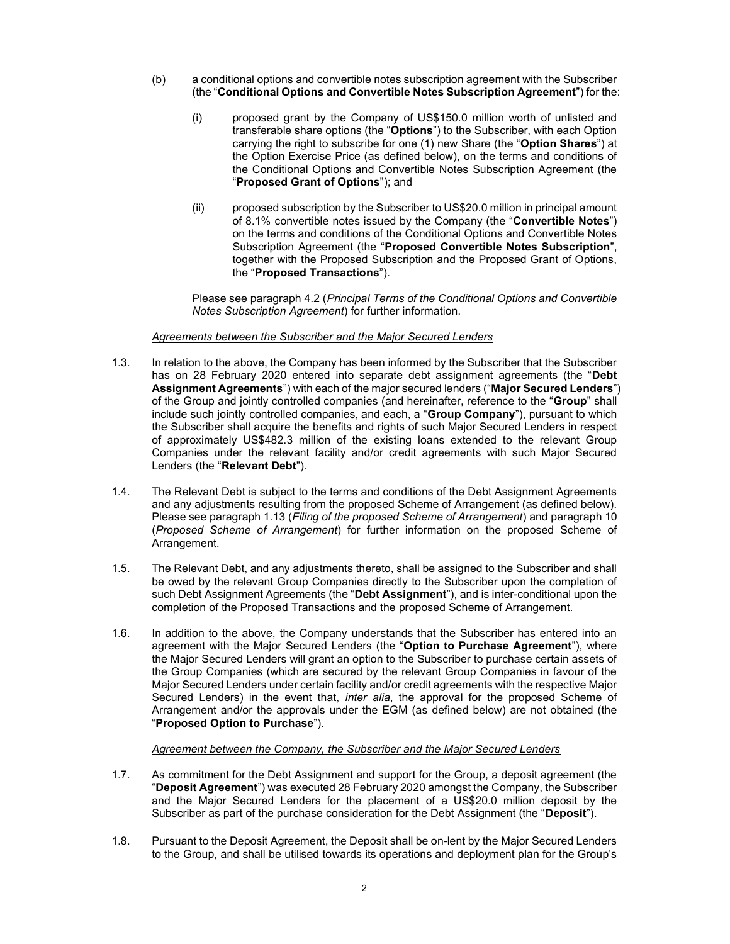- (b) a conditional options and convertible notes subscription agreement with the Subscriber (the "Conditional Options and Convertible Notes Subscription Agreement") for the:
	- (i) proposed grant by the Company of US\$150.0 million worth of unlisted and transferable share options (the "Options") to the Subscriber, with each Option carrying the right to subscribe for one (1) new Share (the "Option Shares") at the Option Exercise Price (as defined below), on the terms and conditions of the Conditional Options and Convertible Notes Subscription Agreement (the "Proposed Grant of Options"); and
	- (ii) proposed subscription by the Subscriber to US\$20.0 million in principal amount of 8.1% convertible notes issued by the Company (the "Convertible Notes") on the terms and conditions of the Conditional Options and Convertible Notes Subscription Agreement (the "Proposed Convertible Notes Subscription", together with the Proposed Subscription and the Proposed Grant of Options, the "Proposed Transactions").

Please see paragraph 4.2 (Principal Terms of the Conditional Options and Convertible Notes Subscription Agreement) for further information.

### Agreements between the Subscriber and the Major Secured Lenders

- 1.3. In relation to the above, the Company has been informed by the Subscriber that the Subscriber has on 28 February 2020 entered into separate debt assignment agreements (the "Debt Assignment Agreements") with each of the major secured lenders ("Major Secured Lenders") of the Group and jointly controlled companies (and hereinafter, reference to the "Group" shall include such jointly controlled companies, and each, a "Group Company"), pursuant to which the Subscriber shall acquire the benefits and rights of such Major Secured Lenders in respect of approximately US\$482.3 million of the existing loans extended to the relevant Group Companies under the relevant facility and/or credit agreements with such Major Secured Lenders (the "Relevant Debt").
- 1.4. The Relevant Debt is subject to the terms and conditions of the Debt Assignment Agreements and any adjustments resulting from the proposed Scheme of Arrangement (as defined below). Please see paragraph 1.13 (Filing of the proposed Scheme of Arrangement) and paragraph 10 (Proposed Scheme of Arrangement) for further information on the proposed Scheme of Arrangement.
- 1.5. The Relevant Debt, and any adjustments thereto, shall be assigned to the Subscriber and shall be owed by the relevant Group Companies directly to the Subscriber upon the completion of such Debt Assignment Agreements (the "Debt Assignment"), and is inter-conditional upon the completion of the Proposed Transactions and the proposed Scheme of Arrangement.
- 1.6. In addition to the above, the Company understands that the Subscriber has entered into an agreement with the Major Secured Lenders (the "Option to Purchase Agreement"), where the Major Secured Lenders will grant an option to the Subscriber to purchase certain assets of the Group Companies (which are secured by the relevant Group Companies in favour of the Major Secured Lenders under certain facility and/or credit agreements with the respective Major Secured Lenders) in the event that, inter alia, the approval for the proposed Scheme of Arrangement and/or the approvals under the EGM (as defined below) are not obtained (the "Proposed Option to Purchase").

### Agreement between the Company, the Subscriber and the Major Secured Lenders

- 1.7. As commitment for the Debt Assignment and support for the Group, a deposit agreement (the "Deposit Agreement") was executed 28 February 2020 amongst the Company, the Subscriber and the Major Secured Lenders for the placement of a US\$20.0 million deposit by the Subscriber as part of the purchase consideration for the Debt Assignment (the "Deposit").
- 1.8. Pursuant to the Deposit Agreement, the Deposit shall be on-lent by the Major Secured Lenders to the Group, and shall be utilised towards its operations and deployment plan for the Group's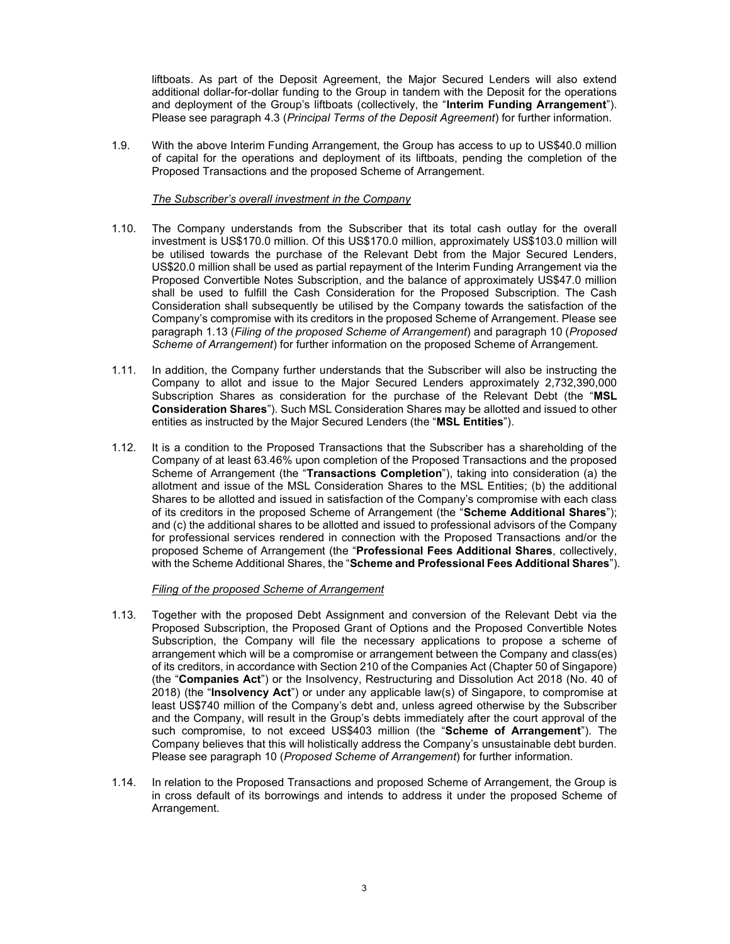liftboats. As part of the Deposit Agreement, the Major Secured Lenders will also extend additional dollar-for-dollar funding to the Group in tandem with the Deposit for the operations and deployment of the Group's liftboats (collectively, the "Interim Funding Arrangement"). Please see paragraph 4.3 (Principal Terms of the Deposit Agreement) for further information.

1.9. With the above Interim Funding Arrangement, the Group has access to up to US\$40.0 million of capital for the operations and deployment of its liftboats, pending the completion of the Proposed Transactions and the proposed Scheme of Arrangement.

### The Subscriber's overall investment in the Company

- 1.10. The Company understands from the Subscriber that its total cash outlay for the overall investment is US\$170.0 million. Of this US\$170.0 million, approximately US\$103.0 million will be utilised towards the purchase of the Relevant Debt from the Major Secured Lenders, US\$20.0 million shall be used as partial repayment of the Interim Funding Arrangement via the Proposed Convertible Notes Subscription, and the balance of approximately US\$47.0 million shall be used to fulfill the Cash Consideration for the Proposed Subscription. The Cash Consideration shall subsequently be utilised by the Company towards the satisfaction of the Company's compromise with its creditors in the proposed Scheme of Arrangement. Please see paragraph 1.13 (Filing of the proposed Scheme of Arrangement) and paragraph 10 (Proposed Scheme of Arrangement) for further information on the proposed Scheme of Arrangement.
- 1.11. In addition, the Company further understands that the Subscriber will also be instructing the Company to allot and issue to the Major Secured Lenders approximately 2,732,390,000 Subscription Shares as consideration for the purchase of the Relevant Debt (the "MSL Consideration Shares"). Such MSL Consideration Shares may be allotted and issued to other entities as instructed by the Major Secured Lenders (the "MSL Entities").
- 1.12. It is a condition to the Proposed Transactions that the Subscriber has a shareholding of the Company of at least 63.46% upon completion of the Proposed Transactions and the proposed Scheme of Arrangement (the "Transactions Completion"), taking into consideration (a) the allotment and issue of the MSL Consideration Shares to the MSL Entities; (b) the additional Shares to be allotted and issued in satisfaction of the Company's compromise with each class of its creditors in the proposed Scheme of Arrangement (the "Scheme Additional Shares"); and (c) the additional shares to be allotted and issued to professional advisors of the Company for professional services rendered in connection with the Proposed Transactions and/or the proposed Scheme of Arrangement (the "Professional Fees Additional Shares, collectively, with the Scheme Additional Shares, the "Scheme and Professional Fees Additional Shares").

### Filing of the proposed Scheme of Arrangement

- 1.13. Together with the proposed Debt Assignment and conversion of the Relevant Debt via the Proposed Subscription, the Proposed Grant of Options and the Proposed Convertible Notes Subscription, the Company will file the necessary applications to propose a scheme of arrangement which will be a compromise or arrangement between the Company and class(es) of its creditors, in accordance with Section 210 of the Companies Act (Chapter 50 of Singapore) (the "Companies Act") or the Insolvency, Restructuring and Dissolution Act 2018 (No. 40 of 2018) (the "Insolvency Act") or under any applicable law(s) of Singapore, to compromise at least US\$740 million of the Company's debt and, unless agreed otherwise by the Subscriber and the Company, will result in the Group's debts immediately after the court approval of the such compromise, to not exceed US\$403 million (the "Scheme of Arrangement"). The Company believes that this will holistically address the Company's unsustainable debt burden. Please see paragraph 10 (Proposed Scheme of Arrangement) for further information.
- 1.14. In relation to the Proposed Transactions and proposed Scheme of Arrangement, the Group is in cross default of its borrowings and intends to address it under the proposed Scheme of Arrangement.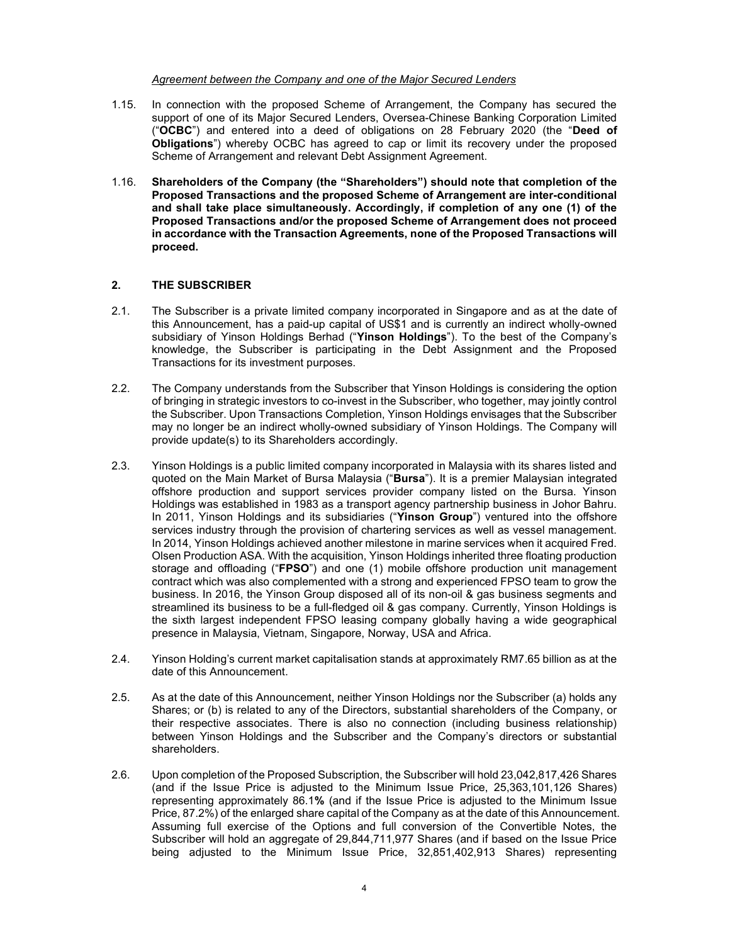### Agreement between the Company and one of the Major Secured Lenders

- 1.15. In connection with the proposed Scheme of Arrangement, the Company has secured the support of one of its Major Secured Lenders, Oversea-Chinese Banking Corporation Limited ("OCBC") and entered into a deed of obligations on 28 February 2020 (the "Deed of Obligations") whereby OCBC has agreed to cap or limit its recovery under the proposed Scheme of Arrangement and relevant Debt Assignment Agreement.
- 1.16. Shareholders of the Company (the "Shareholders") should note that completion of the Proposed Transactions and the proposed Scheme of Arrangement are inter-conditional and shall take place simultaneously. Accordingly, if completion of any one (1) of the Proposed Transactions and/or the proposed Scheme of Arrangement does not proceed in accordance with the Transaction Agreements, none of the Proposed Transactions will proceed.

### 2. THE SUBSCRIBER

- 2.1. The Subscriber is a private limited company incorporated in Singapore and as at the date of this Announcement, has a paid-up capital of US\$1 and is currently an indirect wholly-owned subsidiary of Yinson Holdings Berhad ("Yinson Holdings"). To the best of the Company's knowledge, the Subscriber is participating in the Debt Assignment and the Proposed Transactions for its investment purposes.
- 2.2. The Company understands from the Subscriber that Yinson Holdings is considering the option of bringing in strategic investors to co-invest in the Subscriber, who together, may jointly control the Subscriber. Upon Transactions Completion, Yinson Holdings envisages that the Subscriber may no longer be an indirect wholly-owned subsidiary of Yinson Holdings. The Company will provide update(s) to its Shareholders accordingly.
- 2.3. Yinson Holdings is a public limited company incorporated in Malaysia with its shares listed and quoted on the Main Market of Bursa Malaysia ("Bursa"). It is a premier Malaysian integrated offshore production and support services provider company listed on the Bursa. Yinson Holdings was established in 1983 as a transport agency partnership business in Johor Bahru. In 2011, Yinson Holdings and its subsidiaries ("Yinson Group") ventured into the offshore services industry through the provision of chartering services as well as vessel management. In 2014, Yinson Holdings achieved another milestone in marine services when it acquired Fred. Olsen Production ASA. With the acquisition, Yinson Holdings inherited three floating production storage and offloading ("FPSO") and one (1) mobile offshore production unit management contract which was also complemented with a strong and experienced FPSO team to grow the business. In 2016, the Yinson Group disposed all of its non-oil & gas business segments and streamlined its business to be a full-fledged oil & gas company. Currently, Yinson Holdings is the sixth largest independent FPSO leasing company globally having a wide geographical presence in Malaysia, Vietnam, Singapore, Norway, USA and Africa.
- 2.4. Yinson Holding's current market capitalisation stands at approximately RM7.65 billion as at the date of this Announcement.
- 2.5. As at the date of this Announcement, neither Yinson Holdings nor the Subscriber (a) holds any Shares; or (b) is related to any of the Directors, substantial shareholders of the Company, or their respective associates. There is also no connection (including business relationship) between Yinson Holdings and the Subscriber and the Company's directors or substantial shareholders.
- 2.6. Upon completion of the Proposed Subscription, the Subscriber will hold 23,042,817,426 Shares (and if the Issue Price is adjusted to the Minimum Issue Price, 25,363,101,126 Shares) representing approximately 86.1% (and if the Issue Price is adjusted to the Minimum Issue Price, 87.2%) of the enlarged share capital of the Company as at the date of this Announcement. Assuming full exercise of the Options and full conversion of the Convertible Notes, the Subscriber will hold an aggregate of 29,844,711,977 Shares (and if based on the Issue Price being adjusted to the Minimum Issue Price, 32,851,402,913 Shares) representing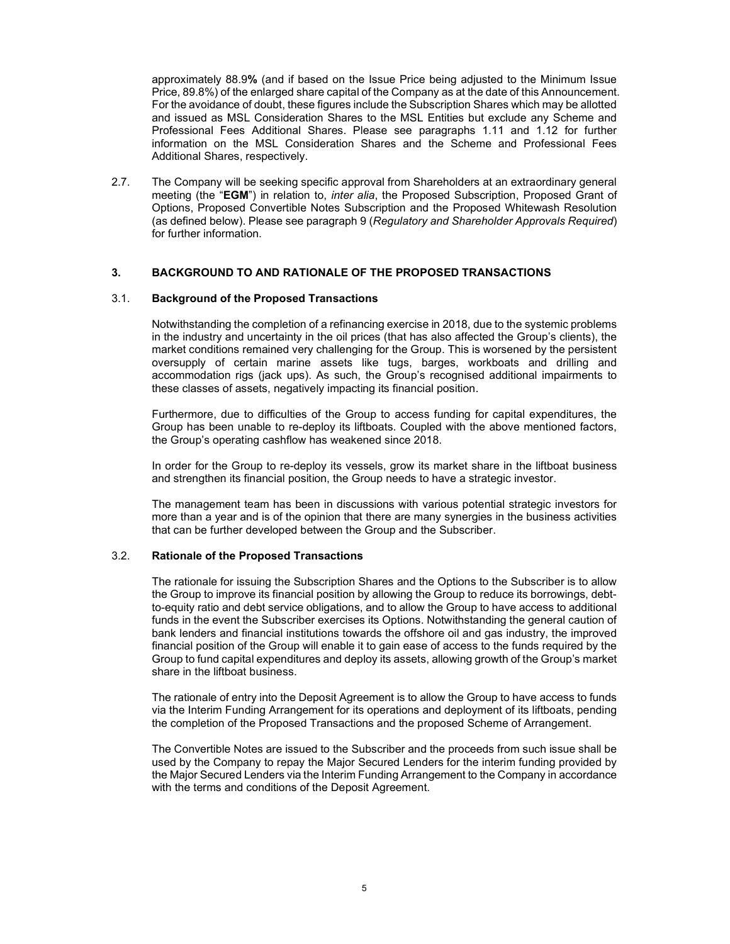approximately 88.9% (and if based on the Issue Price being adjusted to the Minimum Issue Price, 89.8%) of the enlarged share capital of the Company as at the date of this Announcement. For the avoidance of doubt, these figures include the Subscription Shares which may be allotted and issued as MSL Consideration Shares to the MSL Entities but exclude any Scheme and Professional Fees Additional Shares. Please see paragraphs 1.11 and 1.12 for further information on the MSL Consideration Shares and the Scheme and Professional Fees Additional Shares, respectively.

2.7. The Company will be seeking specific approval from Shareholders at an extraordinary general meeting (the "EGM") in relation to, *inter alia*, the Proposed Subscription, Proposed Grant of Options, Proposed Convertible Notes Subscription and the Proposed Whitewash Resolution (as defined below). Please see paragraph 9 (Regulatory and Shareholder Approvals Required) for further information.

### 3. BACKGROUND TO AND RATIONALE OF THE PROPOSED TRANSACTIONS

### 3.1. Background of the Proposed Transactions

Notwithstanding the completion of a refinancing exercise in 2018, due to the systemic problems in the industry and uncertainty in the oil prices (that has also affected the Group's clients), the market conditions remained very challenging for the Group. This is worsened by the persistent oversupply of certain marine assets like tugs, barges, workboats and drilling and accommodation rigs (jack ups). As such, the Group's recognised additional impairments to these classes of assets, negatively impacting its financial position.

Furthermore, due to difficulties of the Group to access funding for capital expenditures, the Group has been unable to re-deploy its liftboats. Coupled with the above mentioned factors, the Group's operating cashflow has weakened since 2018.

In order for the Group to re-deploy its vessels, grow its market share in the liftboat business and strengthen its financial position, the Group needs to have a strategic investor.

The management team has been in discussions with various potential strategic investors for more than a year and is of the opinion that there are many synergies in the business activities that can be further developed between the Group and the Subscriber.

### 3.2. Rationale of the Proposed Transactions

The rationale for issuing the Subscription Shares and the Options to the Subscriber is to allow the Group to improve its financial position by allowing the Group to reduce its borrowings, debtto-equity ratio and debt service obligations, and to allow the Group to have access to additional funds in the event the Subscriber exercises its Options. Notwithstanding the general caution of bank lenders and financial institutions towards the offshore oil and gas industry, the improved financial position of the Group will enable it to gain ease of access to the funds required by the Group to fund capital expenditures and deploy its assets, allowing growth of the Group's market share in the liftboat business.

The rationale of entry into the Deposit Agreement is to allow the Group to have access to funds via the Interim Funding Arrangement for its operations and deployment of its liftboats, pending the completion of the Proposed Transactions and the proposed Scheme of Arrangement.

The Convertible Notes are issued to the Subscriber and the proceeds from such issue shall be used by the Company to repay the Major Secured Lenders for the interim funding provided by the Major Secured Lenders via the Interim Funding Arrangement to the Company in accordance with the terms and conditions of the Deposit Agreement.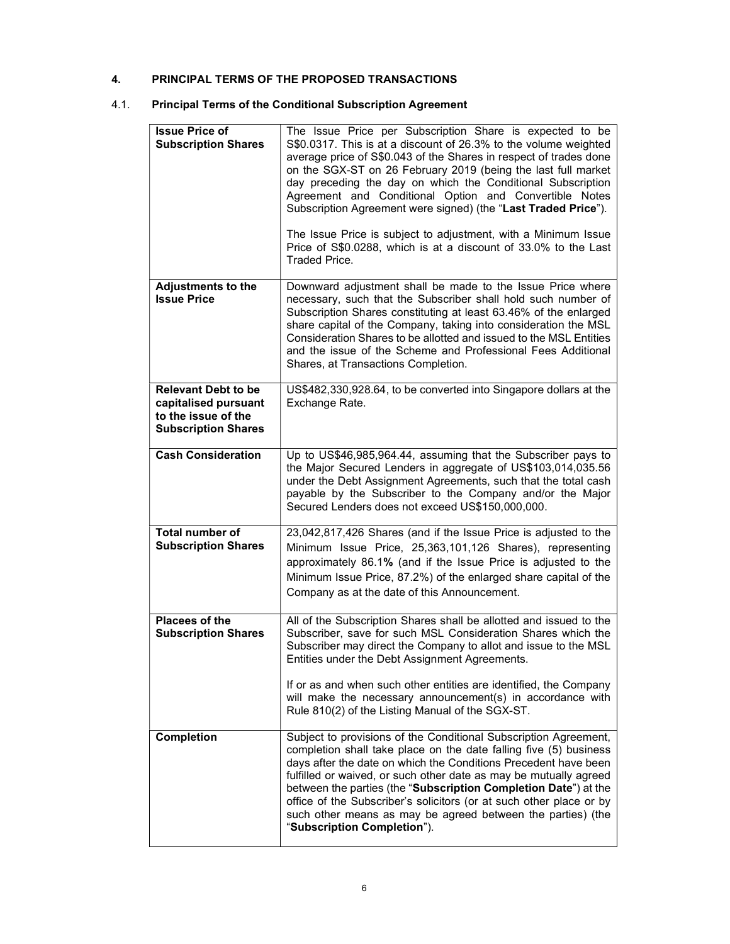## 4. PRINCIPAL TERMS OF THE PROPOSED TRANSACTIONS

# 4.1. Principal Terms of the Conditional Subscription Agreement

| <b>Issue Price of</b><br><b>Subscription Shares</b>                                                     | The Issue Price per Subscription Share is expected to be<br>S\$0.0317. This is at a discount of 26.3% to the volume weighted<br>average price of S\$0.043 of the Shares in respect of trades done<br>on the SGX-ST on 26 February 2019 (being the last full market<br>day preceding the day on which the Conditional Subscription<br>Agreement and Conditional Option and Convertible Notes<br>Subscription Agreement were signed) (the "Last Traded Price").<br>The Issue Price is subject to adjustment, with a Minimum Issue |
|---------------------------------------------------------------------------------------------------------|---------------------------------------------------------------------------------------------------------------------------------------------------------------------------------------------------------------------------------------------------------------------------------------------------------------------------------------------------------------------------------------------------------------------------------------------------------------------------------------------------------------------------------|
|                                                                                                         | Price of S\$0.0288, which is at a discount of 33.0% to the Last<br>Traded Price.                                                                                                                                                                                                                                                                                                                                                                                                                                                |
| <b>Adjustments to the</b><br><b>Issue Price</b>                                                         | Downward adjustment shall be made to the Issue Price where<br>necessary, such that the Subscriber shall hold such number of<br>Subscription Shares constituting at least 63.46% of the enlarged<br>share capital of the Company, taking into consideration the MSL<br>Consideration Shares to be allotted and issued to the MSL Entities<br>and the issue of the Scheme and Professional Fees Additional<br>Shares, at Transactions Completion.                                                                                 |
| <b>Relevant Debt to be</b><br>capitalised pursuant<br>to the issue of the<br><b>Subscription Shares</b> | US\$482,330,928.64, to be converted into Singapore dollars at the<br>Exchange Rate.                                                                                                                                                                                                                                                                                                                                                                                                                                             |
| <b>Cash Consideration</b>                                                                               | Up to US\$46,985,964.44, assuming that the Subscriber pays to<br>the Major Secured Lenders in aggregate of US\$103,014,035.56<br>under the Debt Assignment Agreements, such that the total cash<br>payable by the Subscriber to the Company and/or the Major<br>Secured Lenders does not exceed US\$150,000,000.                                                                                                                                                                                                                |
| Total number of<br><b>Subscription Shares</b>                                                           | 23,042,817,426 Shares (and if the Issue Price is adjusted to the<br>Minimum Issue Price, 25,363,101,126 Shares), representing<br>approximately 86.1% (and if the Issue Price is adjusted to the<br>Minimum Issue Price, 87.2%) of the enlarged share capital of the<br>Company as at the date of this Announcement.                                                                                                                                                                                                             |
| Placees of the<br><b>Subscription Shares</b>                                                            | All of the Subscription Shares shall be allotted and issued to the<br>Subscriber, save for such MSL Consideration Shares which the<br>Subscriber may direct the Company to allot and issue to the MSL<br>Entities under the Debt Assignment Agreements.                                                                                                                                                                                                                                                                         |
|                                                                                                         | If or as and when such other entities are identified, the Company<br>will make the necessary announcement(s) in accordance with<br>Rule 810(2) of the Listing Manual of the SGX-ST.                                                                                                                                                                                                                                                                                                                                             |
| Completion                                                                                              | Subject to provisions of the Conditional Subscription Agreement,<br>completion shall take place on the date falling five (5) business<br>days after the date on which the Conditions Precedent have been<br>fulfilled or waived, or such other date as may be mutually agreed<br>between the parties (the "Subscription Completion Date") at the<br>office of the Subscriber's solicitors (or at such other place or by<br>such other means as may be agreed between the parties) (the<br>"Subscription Completion").           |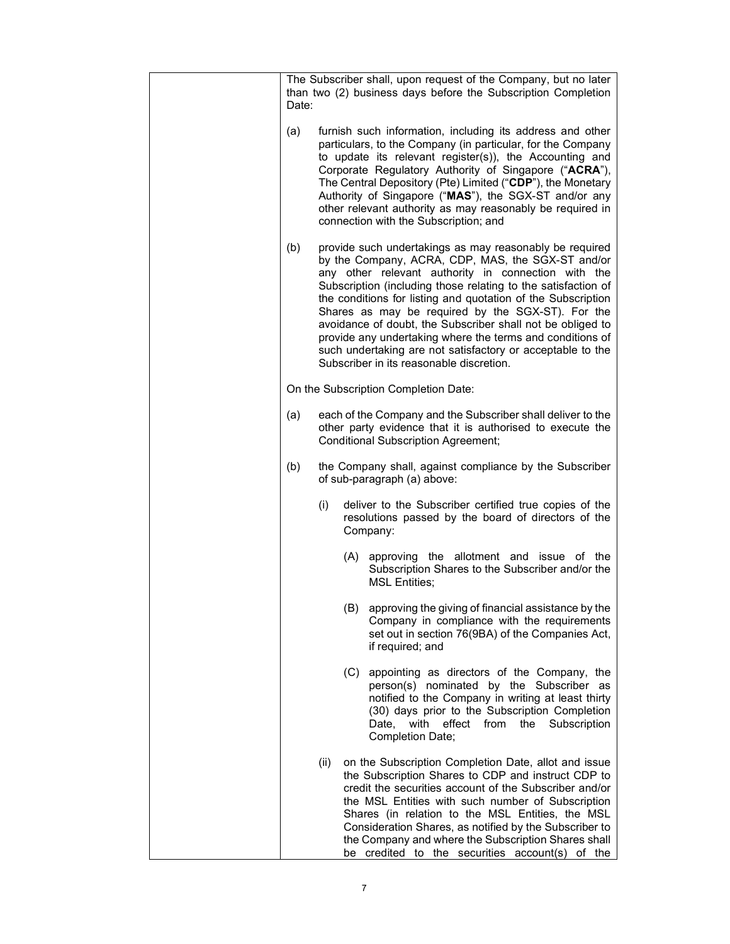| Date: |      | The Subscriber shall, upon request of the Company, but no later<br>than two (2) business days before the Subscription Completion                                                                                                                                                                                                                                                                                                                                                                                                                                                               |
|-------|------|------------------------------------------------------------------------------------------------------------------------------------------------------------------------------------------------------------------------------------------------------------------------------------------------------------------------------------------------------------------------------------------------------------------------------------------------------------------------------------------------------------------------------------------------------------------------------------------------|
| (a)   |      | furnish such information, including its address and other<br>particulars, to the Company (in particular, for the Company<br>to update its relevant register(s)), the Accounting and<br>Corporate Regulatory Authority of Singapore ("ACRA"),<br>The Central Depository (Pte) Limited ("CDP"), the Monetary<br>Authority of Singapore ("MAS"), the SGX-ST and/or any<br>other relevant authority as may reasonably be required in<br>connection with the Subscription; and                                                                                                                      |
| (b)   |      | provide such undertakings as may reasonably be required<br>by the Company, ACRA, CDP, MAS, the SGX-ST and/or<br>any other relevant authority in connection with the<br>Subscription (including those relating to the satisfaction of<br>the conditions for listing and quotation of the Subscription<br>Shares as may be required by the SGX-ST). For the<br>avoidance of doubt, the Subscriber shall not be obliged to<br>provide any undertaking where the terms and conditions of<br>such undertaking are not satisfactory or acceptable to the<br>Subscriber in its reasonable discretion. |
|       |      | On the Subscription Completion Date:                                                                                                                                                                                                                                                                                                                                                                                                                                                                                                                                                           |
| (a)   |      | each of the Company and the Subscriber shall deliver to the<br>other party evidence that it is authorised to execute the<br><b>Conditional Subscription Agreement;</b>                                                                                                                                                                                                                                                                                                                                                                                                                         |
| (b)   |      | the Company shall, against compliance by the Subscriber<br>of sub-paragraph (a) above:                                                                                                                                                                                                                                                                                                                                                                                                                                                                                                         |
|       | (i)  | deliver to the Subscriber certified true copies of the<br>resolutions passed by the board of directors of the<br>Company:                                                                                                                                                                                                                                                                                                                                                                                                                                                                      |
|       | (A)  | approving the allotment and issue of the<br>Subscription Shares to the Subscriber and/or the<br><b>MSL Entities;</b>                                                                                                                                                                                                                                                                                                                                                                                                                                                                           |
|       | (B)  | approving the giving of financial assistance by the<br>Company in compliance with the requirements<br>set out in section 76(9BA) of the Companies Act,<br>if required; and                                                                                                                                                                                                                                                                                                                                                                                                                     |
|       | (C)  | appointing as directors of the Company, the<br>person(s) nominated by the Subscriber as<br>notified to the Company in writing at least thirty<br>(30) days prior to the Subscription Completion<br>effect<br>Date,<br>with<br>from<br>the<br>Subscription<br>Completion Date;                                                                                                                                                                                                                                                                                                                  |
|       | (ii) | on the Subscription Completion Date, allot and issue<br>the Subscription Shares to CDP and instruct CDP to<br>credit the securities account of the Subscriber and/or<br>the MSL Entities with such number of Subscription<br>Shares (in relation to the MSL Entities, the MSL<br>Consideration Shares, as notified by the Subscriber to<br>the Company and where the Subscription Shares shall<br>be credited to the securities account(s) of the                                                                                                                                              |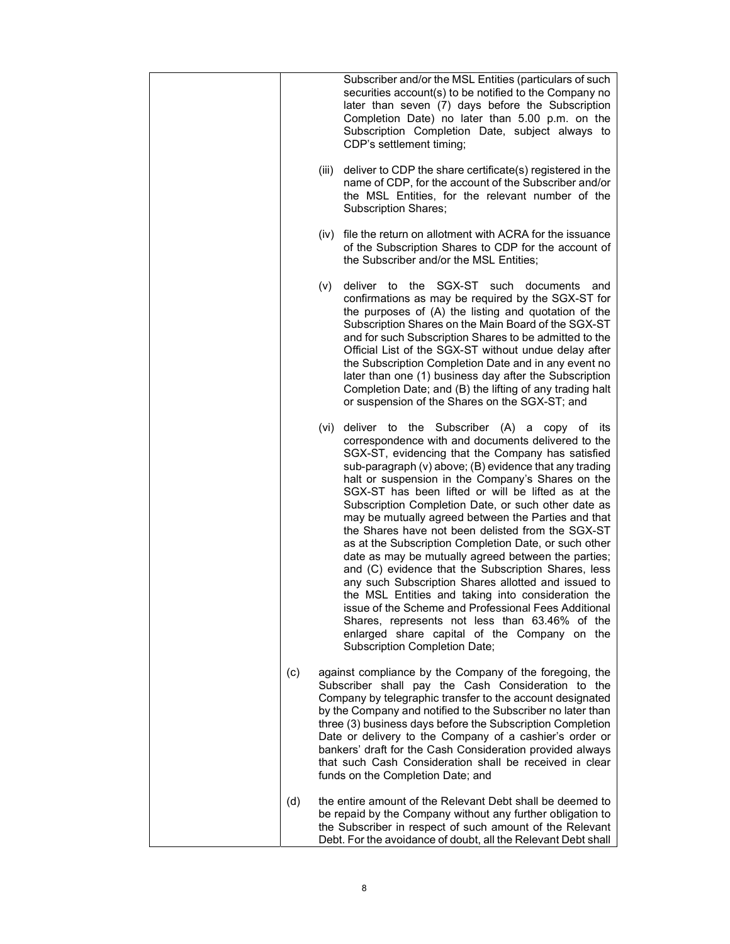|     |       | Subscriber and/or the MSL Entities (particulars of such<br>securities account(s) to be notified to the Company no<br>later than seven (7) days before the Subscription<br>Completion Date) no later than 5.00 p.m. on the<br>Subscription Completion Date, subject always to<br>CDP's settlement timing;                                                                                                                                                                                                                                                                                                                                                                                                                                                                                                                                                                                                                                                                             |
|-----|-------|--------------------------------------------------------------------------------------------------------------------------------------------------------------------------------------------------------------------------------------------------------------------------------------------------------------------------------------------------------------------------------------------------------------------------------------------------------------------------------------------------------------------------------------------------------------------------------------------------------------------------------------------------------------------------------------------------------------------------------------------------------------------------------------------------------------------------------------------------------------------------------------------------------------------------------------------------------------------------------------|
|     | (iii) | deliver to CDP the share certificate(s) registered in the<br>name of CDP, for the account of the Subscriber and/or<br>the MSL Entities, for the relevant number of the<br><b>Subscription Shares;</b>                                                                                                                                                                                                                                                                                                                                                                                                                                                                                                                                                                                                                                                                                                                                                                                |
|     |       | (iv) file the return on allotment with ACRA for the issuance<br>of the Subscription Shares to CDP for the account of<br>the Subscriber and/or the MSL Entities;                                                                                                                                                                                                                                                                                                                                                                                                                                                                                                                                                                                                                                                                                                                                                                                                                      |
|     | (v)   | SGX-ST<br>deliver to<br>the<br>documents<br>such<br>and<br>confirmations as may be required by the SGX-ST for<br>the purposes of (A) the listing and quotation of the<br>Subscription Shares on the Main Board of the SGX-ST<br>and for such Subscription Shares to be admitted to the<br>Official List of the SGX-ST without undue delay after<br>the Subscription Completion Date and in any event no<br>later than one (1) business day after the Subscription<br>Completion Date; and (B) the lifting of any trading halt<br>or suspension of the Shares on the SGX-ST; and                                                                                                                                                                                                                                                                                                                                                                                                      |
|     | (vi)  | deliver to the Subscriber (A)<br>copy of its<br>a<br>correspondence with and documents delivered to the<br>SGX-ST, evidencing that the Company has satisfied<br>sub-paragraph (v) above; (B) evidence that any trading<br>halt or suspension in the Company's Shares on the<br>SGX-ST has been lifted or will be lifted as at the<br>Subscription Completion Date, or such other date as<br>may be mutually agreed between the Parties and that<br>the Shares have not been delisted from the SGX-ST<br>as at the Subscription Completion Date, or such other<br>date as may be mutually agreed between the parties;<br>and (C) evidence that the Subscription Shares, less<br>any such Subscription Shares allotted and issued to<br>the MSL Entities and taking into consideration the<br>issue of the Scheme and Professional Fees Additional.<br>Shares, represents not less than 63.46% of the<br>enlarged share capital of the Company on the<br>Subscription Completion Date; |
| (c) |       | against compliance by the Company of the foregoing, the<br>Subscriber shall pay the Cash Consideration to the<br>Company by telegraphic transfer to the account designated<br>by the Company and notified to the Subscriber no later than<br>three (3) business days before the Subscription Completion<br>Date or delivery to the Company of a cashier's order or<br>bankers' draft for the Cash Consideration provided always<br>that such Cash Consideration shall be received in clear<br>funds on the Completion Date; and                                                                                                                                                                                                                                                                                                                                                                                                                                                      |
| (d) |       | the entire amount of the Relevant Debt shall be deemed to<br>be repaid by the Company without any further obligation to<br>the Subscriber in respect of such amount of the Relevant<br>Debt. For the avoidance of doubt, all the Relevant Debt shall                                                                                                                                                                                                                                                                                                                                                                                                                                                                                                                                                                                                                                                                                                                                 |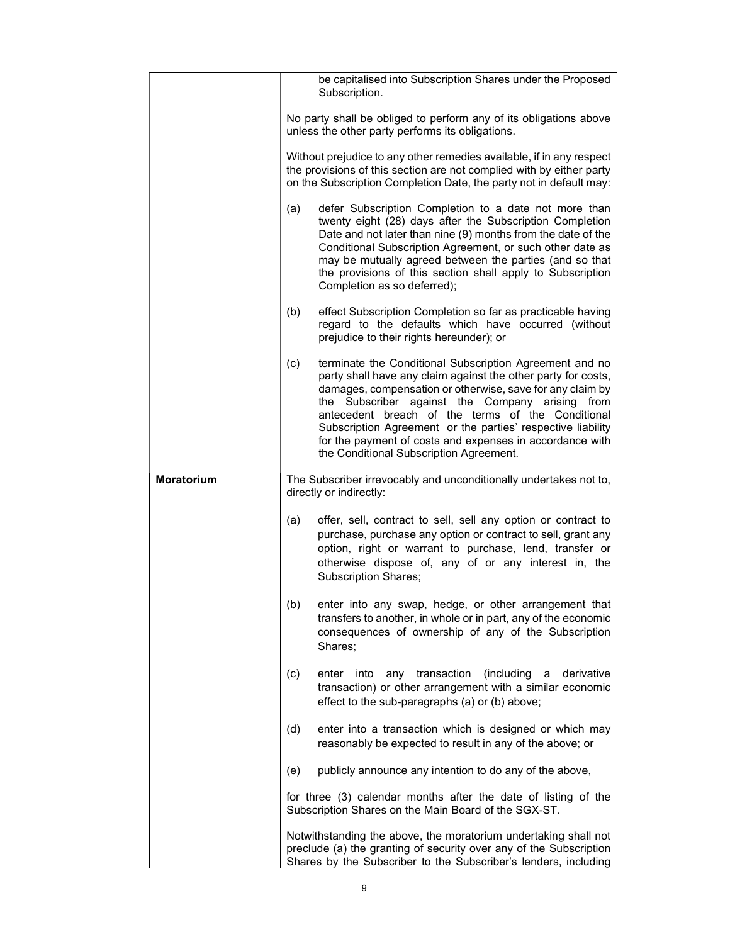|            |     | be capitalised into Subscription Shares under the Proposed<br>Subscription.                                                                                                                                                                                                                                                                                                                                                                                         |
|------------|-----|---------------------------------------------------------------------------------------------------------------------------------------------------------------------------------------------------------------------------------------------------------------------------------------------------------------------------------------------------------------------------------------------------------------------------------------------------------------------|
|            |     | No party shall be obliged to perform any of its obligations above<br>unless the other party performs its obligations.                                                                                                                                                                                                                                                                                                                                               |
|            |     | Without prejudice to any other remedies available, if in any respect<br>the provisions of this section are not complied with by either party<br>on the Subscription Completion Date, the party not in default may:                                                                                                                                                                                                                                                  |
|            | (a) | defer Subscription Completion to a date not more than<br>twenty eight (28) days after the Subscription Completion<br>Date and not later than nine (9) months from the date of the<br>Conditional Subscription Agreement, or such other date as<br>may be mutually agreed between the parties (and so that<br>the provisions of this section shall apply to Subscription<br>Completion as so deferred);                                                              |
|            | (b) | effect Subscription Completion so far as practicable having<br>regard to the defaults which have occurred (without<br>prejudice to their rights hereunder); or                                                                                                                                                                                                                                                                                                      |
|            | (c) | terminate the Conditional Subscription Agreement and no<br>party shall have any claim against the other party for costs,<br>damages, compensation or otherwise, save for any claim by<br>the Subscriber against the Company arising from<br>antecedent breach of the terms of the Conditional<br>Subscription Agreement or the parties' respective liability<br>for the payment of costs and expenses in accordance with<br>the Conditional Subscription Agreement. |
|            |     |                                                                                                                                                                                                                                                                                                                                                                                                                                                                     |
| Moratorium |     | The Subscriber irrevocably and unconditionally undertakes not to,<br>directly or indirectly:                                                                                                                                                                                                                                                                                                                                                                        |
|            | (a) | offer, sell, contract to sell, sell any option or contract to<br>purchase, purchase any option or contract to sell, grant any<br>option, right or warrant to purchase, lend, transfer or<br>otherwise dispose of, any of or any interest in, the<br><b>Subscription Shares;</b>                                                                                                                                                                                     |
|            | (b) | enter into any swap, hedge, or other arrangement that<br>transfers to another, in whole or in part, any of the economic<br>consequences of ownership of any of the Subscription<br>Shares;                                                                                                                                                                                                                                                                          |
|            | (c) | transaction<br>(including<br>derivative<br>enter<br>into<br>any<br>a<br>transaction) or other arrangement with a similar economic<br>effect to the sub-paragraphs (a) or (b) above;                                                                                                                                                                                                                                                                                 |
|            | (d) | enter into a transaction which is designed or which may<br>reasonably be expected to result in any of the above; or                                                                                                                                                                                                                                                                                                                                                 |
|            | (e) | publicly announce any intention to do any of the above,                                                                                                                                                                                                                                                                                                                                                                                                             |
|            |     | for three (3) calendar months after the date of listing of the<br>Subscription Shares on the Main Board of the SGX-ST.                                                                                                                                                                                                                                                                                                                                              |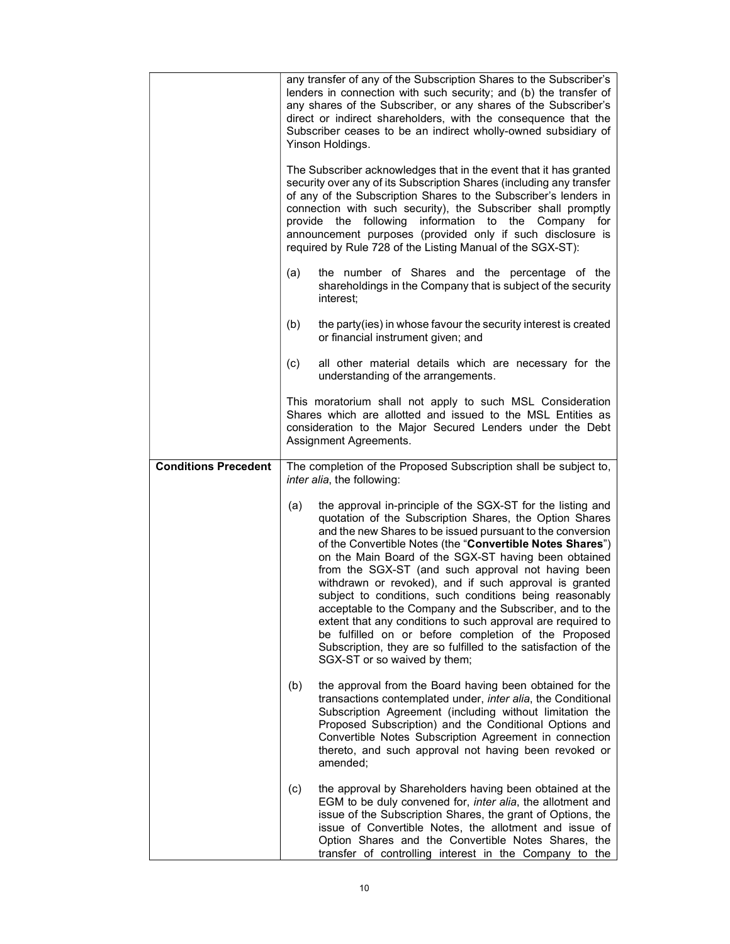|                             |     | any transfer of any of the Subscription Shares to the Subscriber's<br>lenders in connection with such security; and (b) the transfer of<br>any shares of the Subscriber, or any shares of the Subscriber's<br>direct or indirect shareholders, with the consequence that the<br>Subscriber ceases to be an indirect wholly-owned subsidiary of<br>Yinson Holdings.                                                                                                                                                                                                                                                                                                                                                                                                        |
|-----------------------------|-----|---------------------------------------------------------------------------------------------------------------------------------------------------------------------------------------------------------------------------------------------------------------------------------------------------------------------------------------------------------------------------------------------------------------------------------------------------------------------------------------------------------------------------------------------------------------------------------------------------------------------------------------------------------------------------------------------------------------------------------------------------------------------------|
|                             |     | The Subscriber acknowledges that in the event that it has granted<br>security over any of its Subscription Shares (including any transfer<br>of any of the Subscription Shares to the Subscriber's lenders in<br>connection with such security), the Subscriber shall promptly<br>provide the following information to the Company for<br>announcement purposes (provided only if such disclosure is<br>required by Rule 728 of the Listing Manual of the SGX-ST):                                                                                                                                                                                                                                                                                                        |
|                             | (a) | the number of Shares and the percentage of the<br>shareholdings in the Company that is subject of the security<br>interest;                                                                                                                                                                                                                                                                                                                                                                                                                                                                                                                                                                                                                                               |
|                             | (b) | the party(ies) in whose favour the security interest is created<br>or financial instrument given; and                                                                                                                                                                                                                                                                                                                                                                                                                                                                                                                                                                                                                                                                     |
|                             | (c) | all other material details which are necessary for the<br>understanding of the arrangements.                                                                                                                                                                                                                                                                                                                                                                                                                                                                                                                                                                                                                                                                              |
|                             |     | This moratorium shall not apply to such MSL Consideration<br>Shares which are allotted and issued to the MSL Entities as<br>consideration to the Major Secured Lenders under the Debt<br>Assignment Agreements.                                                                                                                                                                                                                                                                                                                                                                                                                                                                                                                                                           |
| <b>Conditions Precedent</b> |     | The completion of the Proposed Subscription shall be subject to,<br>inter alia, the following:                                                                                                                                                                                                                                                                                                                                                                                                                                                                                                                                                                                                                                                                            |
|                             | (a) | the approval in-principle of the SGX-ST for the listing and<br>quotation of the Subscription Shares, the Option Shares<br>and the new Shares to be issued pursuant to the conversion<br>of the Convertible Notes (the "Convertible Notes Shares")<br>on the Main Board of the SGX-ST having been obtained<br>from the SGX-ST (and such approval not having been<br>withdrawn or revoked), and if such approval is granted<br>subject to conditions, such conditions being reasonably<br>acceptable to the Company and the Subscriber, and to the<br>extent that any conditions to such approval are required to<br>be fulfilled on or before completion of the Proposed<br>Subscription, they are so fulfilled to the satisfaction of the<br>SGX-ST or so waived by them; |
|                             | (b) | the approval from the Board having been obtained for the<br>transactions contemplated under, inter alia, the Conditional<br>Subscription Agreement (including without limitation the<br>Proposed Subscription) and the Conditional Options and<br>Convertible Notes Subscription Agreement in connection<br>thereto, and such approval not having been revoked or<br>amended;                                                                                                                                                                                                                                                                                                                                                                                             |
|                             | (c) | the approval by Shareholders having been obtained at the<br>EGM to be duly convened for, inter alia, the allotment and<br>issue of the Subscription Shares, the grant of Options, the<br>issue of Convertible Notes, the allotment and issue of<br>Option Shares and the Convertible Notes Shares, the<br>transfer of controlling interest in the Company to the                                                                                                                                                                                                                                                                                                                                                                                                          |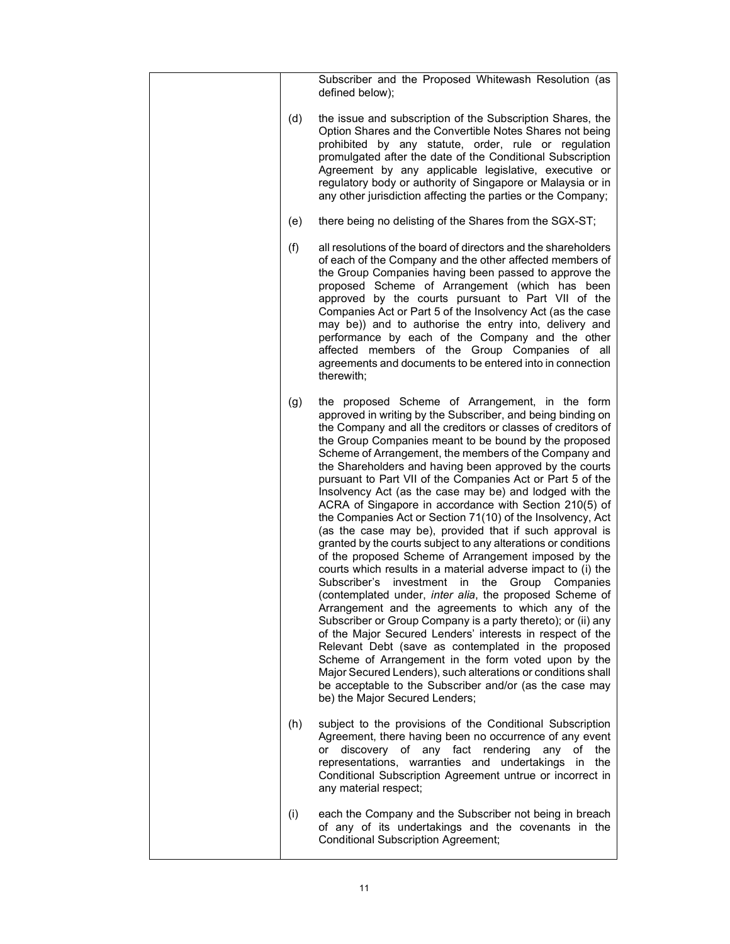|     | Subscriber and the Proposed Whitewash Resolution (as<br>defined below);                                                                                                                                                                                                                                                                                                                                                                                                                                                                                                                                                                                                                                                                                                                                                                                                                                                                                                                                                                                                                                                                                                                                                                                                                                                                                                                                                                                  |
|-----|----------------------------------------------------------------------------------------------------------------------------------------------------------------------------------------------------------------------------------------------------------------------------------------------------------------------------------------------------------------------------------------------------------------------------------------------------------------------------------------------------------------------------------------------------------------------------------------------------------------------------------------------------------------------------------------------------------------------------------------------------------------------------------------------------------------------------------------------------------------------------------------------------------------------------------------------------------------------------------------------------------------------------------------------------------------------------------------------------------------------------------------------------------------------------------------------------------------------------------------------------------------------------------------------------------------------------------------------------------------------------------------------------------------------------------------------------------|
| (d) | the issue and subscription of the Subscription Shares, the<br>Option Shares and the Convertible Notes Shares not being<br>prohibited by any statute, order, rule or regulation<br>promulgated after the date of the Conditional Subscription<br>Agreement by any applicable legislative, executive or<br>regulatory body or authority of Singapore or Malaysia or in<br>any other jurisdiction affecting the parties or the Company;                                                                                                                                                                                                                                                                                                                                                                                                                                                                                                                                                                                                                                                                                                                                                                                                                                                                                                                                                                                                                     |
| (e) | there being no delisting of the Shares from the SGX-ST;                                                                                                                                                                                                                                                                                                                                                                                                                                                                                                                                                                                                                                                                                                                                                                                                                                                                                                                                                                                                                                                                                                                                                                                                                                                                                                                                                                                                  |
| (f) | all resolutions of the board of directors and the shareholders<br>of each of the Company and the other affected members of<br>the Group Companies having been passed to approve the<br>proposed Scheme of Arrangement (which has been<br>approved by the courts pursuant to Part VII of the<br>Companies Act or Part 5 of the Insolvency Act (as the case<br>may be)) and to authorise the entry into, delivery and<br>performance by each of the Company and the other<br>affected members of the Group Companies of all<br>agreements and documents to be entered into in connection<br>therewith;                                                                                                                                                                                                                                                                                                                                                                                                                                                                                                                                                                                                                                                                                                                                                                                                                                                     |
| (g) | the proposed Scheme of Arrangement, in the form<br>approved in writing by the Subscriber, and being binding on<br>the Company and all the creditors or classes of creditors of<br>the Group Companies meant to be bound by the proposed<br>Scheme of Arrangement, the members of the Company and<br>the Shareholders and having been approved by the courts<br>pursuant to Part VII of the Companies Act or Part 5 of the<br>Insolvency Act (as the case may be) and lodged with the<br>ACRA of Singapore in accordance with Section 210(5) of<br>the Companies Act or Section 71(10) of the Insolvency, Act<br>(as the case may be), provided that if such approval is<br>granted by the courts subject to any alterations or conditions<br>of the proposed Scheme of Arrangement imposed by the<br>courts which results in a material adverse impact to (i) the<br>Group Companies<br>Subscriber's<br>investment<br>the<br>in<br>(contemplated under, inter alia, the proposed Scheme of<br>Arrangement and the agreements to which any of the<br>Subscriber or Group Company is a party thereto); or (ii) any<br>of the Major Secured Lenders' interests in respect of the<br>Relevant Debt (save as contemplated in the proposed<br>Scheme of Arrangement in the form voted upon by the<br>Major Secured Lenders), such alterations or conditions shall<br>be acceptable to the Subscriber and/or (as the case may<br>be) the Major Secured Lenders; |
| (h) | subject to the provisions of the Conditional Subscription<br>Agreement, there having been no occurrence of any event<br>discovery of any fact rendering<br>any<br>of<br>the<br>or<br>representations, warranties and undertakings<br>in the<br>Conditional Subscription Agreement untrue or incorrect in<br>any material respect;                                                                                                                                                                                                                                                                                                                                                                                                                                                                                                                                                                                                                                                                                                                                                                                                                                                                                                                                                                                                                                                                                                                        |
| (i) | each the Company and the Subscriber not being in breach<br>of any of its undertakings and the covenants in the<br><b>Conditional Subscription Agreement;</b>                                                                                                                                                                                                                                                                                                                                                                                                                                                                                                                                                                                                                                                                                                                                                                                                                                                                                                                                                                                                                                                                                                                                                                                                                                                                                             |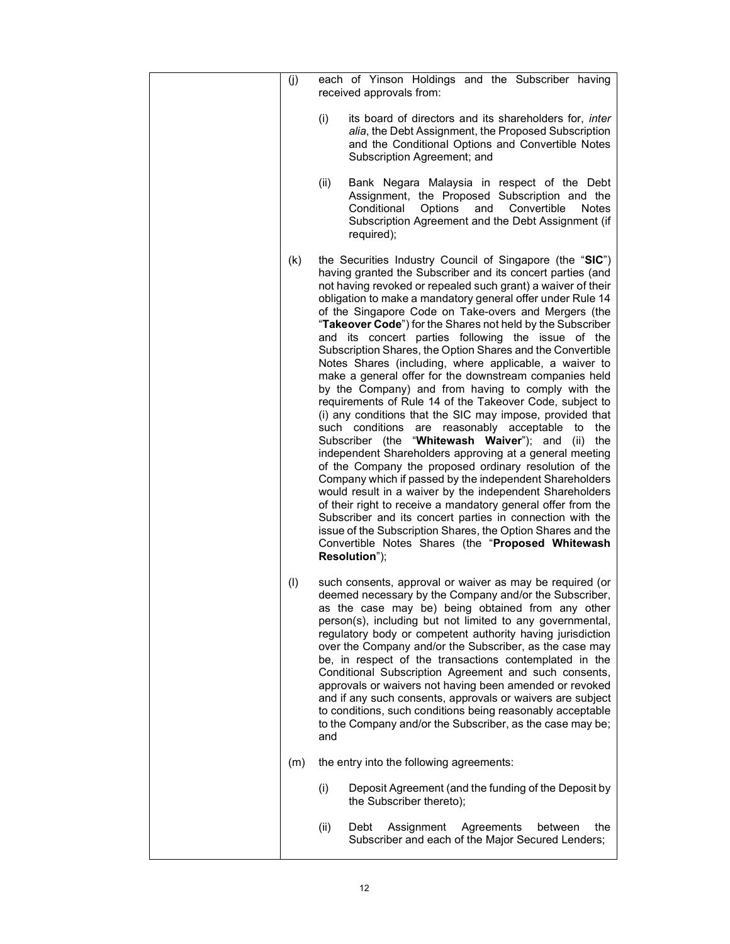| (j) | each of Yinson Holdings and the Subscriber having<br>received approvals from:                                                                                                                                                                                                                                                                                                                                                                                                                                                                                                                                                                                                                                                                                                                                                                                                                                                                                                                                                                                                                                                                                                                                                                                                                                                                                                                                                           |
|-----|-----------------------------------------------------------------------------------------------------------------------------------------------------------------------------------------------------------------------------------------------------------------------------------------------------------------------------------------------------------------------------------------------------------------------------------------------------------------------------------------------------------------------------------------------------------------------------------------------------------------------------------------------------------------------------------------------------------------------------------------------------------------------------------------------------------------------------------------------------------------------------------------------------------------------------------------------------------------------------------------------------------------------------------------------------------------------------------------------------------------------------------------------------------------------------------------------------------------------------------------------------------------------------------------------------------------------------------------------------------------------------------------------------------------------------------------|
|     | (i)<br>its board of directors and its shareholders for, <i>inter</i><br>alia, the Debt Assignment, the Proposed Subscription<br>and the Conditional Options and Convertible Notes<br>Subscription Agreement; and                                                                                                                                                                                                                                                                                                                                                                                                                                                                                                                                                                                                                                                                                                                                                                                                                                                                                                                                                                                                                                                                                                                                                                                                                        |
|     | Bank Negara Malaysia in respect of the Debt<br>(ii)<br>Assignment, the Proposed Subscription and the<br>Options<br>Conditional<br>and<br>Convertible<br>Notes<br>Subscription Agreement and the Debt Assignment (if<br>required);                                                                                                                                                                                                                                                                                                                                                                                                                                                                                                                                                                                                                                                                                                                                                                                                                                                                                                                                                                                                                                                                                                                                                                                                       |
| (k) | the Securities Industry Council of Singapore (the "SIC")<br>having granted the Subscriber and its concert parties (and<br>not having revoked or repealed such grant) a waiver of their<br>obligation to make a mandatory general offer under Rule 14<br>of the Singapore Code on Take-overs and Mergers (the<br>"Takeover Code") for the Shares not held by the Subscriber<br>and its concert parties following the issue of the<br>Subscription Shares, the Option Shares and the Convertible<br>Notes Shares (including, where applicable, a waiver to<br>make a general offer for the downstream companies held<br>by the Company) and from having to comply with the<br>requirements of Rule 14 of the Takeover Code, subject to<br>(i) any conditions that the SIC may impose, provided that<br>such conditions<br>reasonably acceptable to<br>the<br>are<br>Subscriber (the "Whitewash Waiver"); and<br>(ii)<br>the<br>independent Shareholders approving at a general meeting<br>of the Company the proposed ordinary resolution of the<br>Company which if passed by the independent Shareholders<br>would result in a waiver by the independent Shareholders<br>of their right to receive a mandatory general offer from the<br>Subscriber and its concert parties in connection with the<br>issue of the Subscription Shares, the Option Shares and the<br>Convertible Notes Shares (the "Proposed Whitewash<br>Resolution"); |
| (1) | such consents, approval or waiver as may be required (or<br>deemed necessary by the Company and/or the Subscriber,<br>as the case may be) being obtained from any other<br>person(s), including but not limited to any governmental,<br>regulatory body or competent authority having jurisdiction<br>over the Company and/or the Subscriber, as the case may<br>be, in respect of the transactions contemplated in the<br>Conditional Subscription Agreement and such consents,<br>approvals or waivers not having been amended or revoked<br>and if any such consents, approvals or waivers are subject<br>to conditions, such conditions being reasonably acceptable<br>to the Company and/or the Subscriber, as the case may be;<br>and                                                                                                                                                                                                                                                                                                                                                                                                                                                                                                                                                                                                                                                                                             |
| (m) | the entry into the following agreements:                                                                                                                                                                                                                                                                                                                                                                                                                                                                                                                                                                                                                                                                                                                                                                                                                                                                                                                                                                                                                                                                                                                                                                                                                                                                                                                                                                                                |
|     | (i)<br>Deposit Agreement (and the funding of the Deposit by<br>the Subscriber thereto);                                                                                                                                                                                                                                                                                                                                                                                                                                                                                                                                                                                                                                                                                                                                                                                                                                                                                                                                                                                                                                                                                                                                                                                                                                                                                                                                                 |
|     | (ii)<br>Debt<br>the<br>Assignment<br>Agreements<br>between<br>Subscriber and each of the Major Secured Lenders;                                                                                                                                                                                                                                                                                                                                                                                                                                                                                                                                                                                                                                                                                                                                                                                                                                                                                                                                                                                                                                                                                                                                                                                                                                                                                                                         |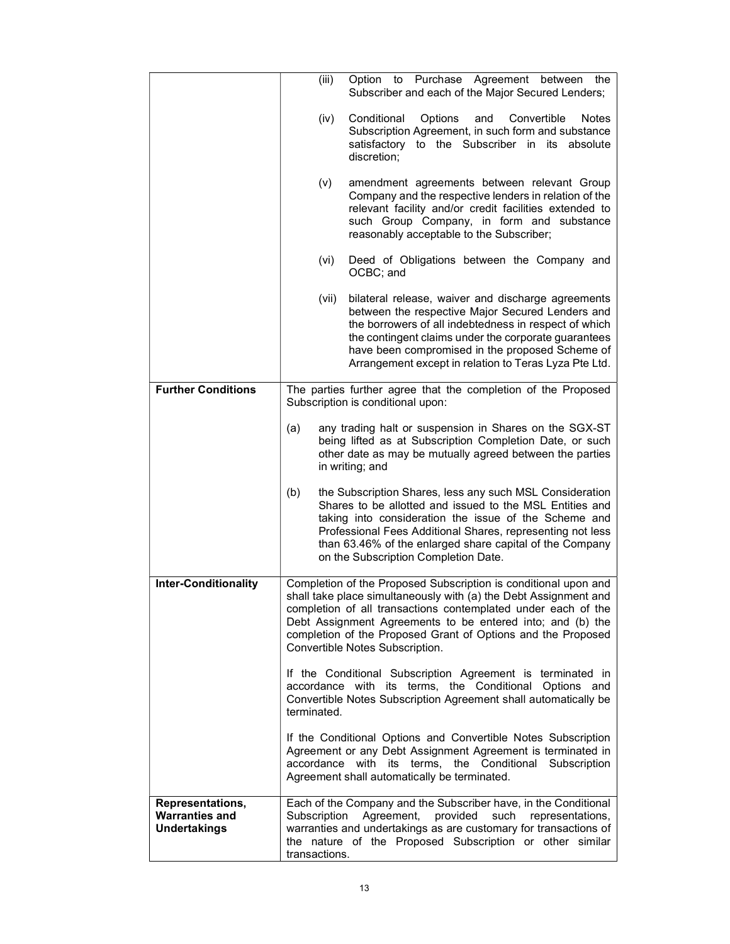|                                                                  | (iii)                         | Option to Purchase Agreement between<br>the<br>Subscriber and each of the Major Secured Lenders;                                                                                                                                                                                                                                                                      |
|------------------------------------------------------------------|-------------------------------|-----------------------------------------------------------------------------------------------------------------------------------------------------------------------------------------------------------------------------------------------------------------------------------------------------------------------------------------------------------------------|
|                                                                  | (iv)                          | Conditional<br>Options<br>and<br>Convertible<br><b>Notes</b><br>Subscription Agreement, in such form and substance<br>satisfactory to the Subscriber in its<br>absolute<br>discretion;                                                                                                                                                                                |
|                                                                  | (v)                           | amendment agreements between relevant Group<br>Company and the respective lenders in relation of the<br>relevant facility and/or credit facilities extended to<br>such Group Company, in form and substance<br>reasonably acceptable to the Subscriber;                                                                                                               |
|                                                                  | (vi)                          | Deed of Obligations between the Company and<br>OCBC; and                                                                                                                                                                                                                                                                                                              |
|                                                                  | (vii)                         | bilateral release, waiver and discharge agreements<br>between the respective Major Secured Lenders and<br>the borrowers of all indebtedness in respect of which<br>the contingent claims under the corporate guarantees<br>have been compromised in the proposed Scheme of<br>Arrangement except in relation to Teras Lyza Pte Ltd.                                   |
| <b>Further Conditions</b>                                        |                               | The parties further agree that the completion of the Proposed<br>Subscription is conditional upon:                                                                                                                                                                                                                                                                    |
|                                                                  | (a)                           | any trading halt or suspension in Shares on the SGX-ST<br>being lifted as at Subscription Completion Date, or such<br>other date as may be mutually agreed between the parties<br>in writing; and                                                                                                                                                                     |
|                                                                  | (b)                           | the Subscription Shares, less any such MSL Consideration<br>Shares to be allotted and issued to the MSL Entities and<br>taking into consideration the issue of the Scheme and<br>Professional Fees Additional Shares, representing not less<br>than 63.46% of the enlarged share capital of the Company<br>on the Subscription Completion Date.                       |
| <b>Inter-Conditionality</b>                                      |                               | Completion of the Proposed Subscription is conditional upon and<br>shall take place simultaneously with (a) the Debt Assignment and<br>completion of all transactions contemplated under each of the<br>Debt Assignment Agreements to be entered into; and (b) the<br>completion of the Proposed Grant of Options and the Proposed<br>Convertible Notes Subscription. |
|                                                                  | terminated.                   | If the Conditional Subscription Agreement is terminated in<br>accordance with its terms, the Conditional Options and<br>Convertible Notes Subscription Agreement shall automatically be                                                                                                                                                                               |
|                                                                  |                               | If the Conditional Options and Convertible Notes Subscription<br>Agreement or any Debt Assignment Agreement is terminated in<br>accordance with its terms, the Conditional Subscription<br>Agreement shall automatically be terminated.                                                                                                                               |
| Representations,<br><b>Warranties and</b><br><b>Undertakings</b> | Subscription<br>transactions. | Each of the Company and the Subscriber have, in the Conditional<br>Agreement, provided<br>such<br>representations,<br>warranties and undertakings as are customary for transactions of<br>the nature of the Proposed Subscription or other similar                                                                                                                    |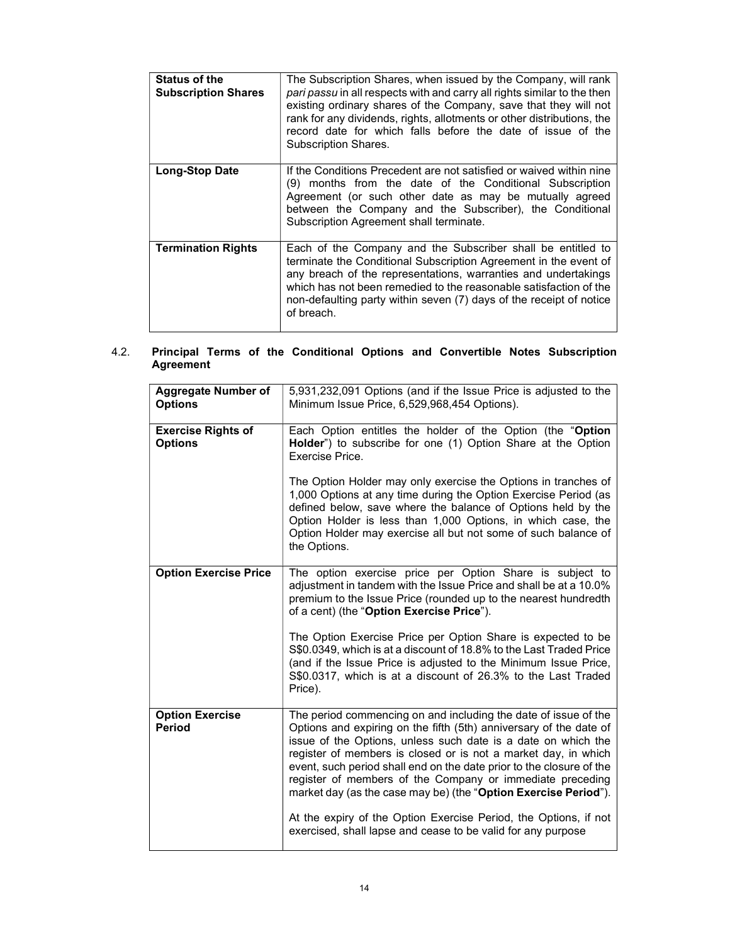| <b>Status of the</b><br><b>Subscription Shares</b> | The Subscription Shares, when issued by the Company, will rank<br>pari passu in all respects with and carry all rights similar to the then<br>existing ordinary shares of the Company, save that they will not<br>rank for any dividends, rights, allotments or other distributions, the<br>record date for which falls before the date of issue of the<br>Subscription Shares. |
|----------------------------------------------------|---------------------------------------------------------------------------------------------------------------------------------------------------------------------------------------------------------------------------------------------------------------------------------------------------------------------------------------------------------------------------------|
| <b>Long-Stop Date</b>                              | If the Conditions Precedent are not satisfied or waived within nine<br>(9) months from the date of the Conditional Subscription<br>Agreement (or such other date as may be mutually agreed<br>between the Company and the Subscriber), the Conditional<br>Subscription Agreement shall terminate.                                                                               |
| <b>Termination Rights</b>                          | Each of the Company and the Subscriber shall be entitled to<br>terminate the Conditional Subscription Agreement in the event of<br>any breach of the representations, warranties and undertakings<br>which has not been remedied to the reasonable satisfaction of the<br>non-defaulting party within seven (7) days of the receipt of notice<br>of breach.                     |

### 4.2. Principal Terms of the Conditional Options and Convertible Notes Subscription Agreement

| <b>Aggregate Number of</b><br><b>Options</b> | 5,931,232,091 Options (and if the Issue Price is adjusted to the<br>Minimum Issue Price, 6,529,968,454 Options).                                                                                                                                                                                                                                                                                                                                                                 |
|----------------------------------------------|----------------------------------------------------------------------------------------------------------------------------------------------------------------------------------------------------------------------------------------------------------------------------------------------------------------------------------------------------------------------------------------------------------------------------------------------------------------------------------|
| <b>Exercise Rights of</b><br><b>Options</b>  | Each Option entitles the holder of the Option (the "Option<br>Holder") to subscribe for one (1) Option Share at the Option<br>Exercise Price.                                                                                                                                                                                                                                                                                                                                    |
|                                              | The Option Holder may only exercise the Options in tranches of<br>1,000 Options at any time during the Option Exercise Period (as<br>defined below, save where the balance of Options held by the<br>Option Holder is less than 1,000 Options, in which case, the<br>Option Holder may exercise all but not some of such balance of<br>the Options.                                                                                                                              |
| <b>Option Exercise Price</b>                 | The option exercise price per Option Share is subject to<br>adjustment in tandem with the Issue Price and shall be at a 10.0%<br>premium to the Issue Price (rounded up to the nearest hundredth<br>of a cent) (the "Option Exercise Price").                                                                                                                                                                                                                                    |
|                                              | The Option Exercise Price per Option Share is expected to be<br>S\$0.0349, which is at a discount of 18.8% to the Last Traded Price<br>(and if the Issue Price is adjusted to the Minimum Issue Price,<br>S\$0.0317, which is at a discount of 26.3% to the Last Traded<br>Price).                                                                                                                                                                                               |
| <b>Option Exercise</b><br><b>Period</b>      | The period commencing on and including the date of issue of the<br>Options and expiring on the fifth (5th) anniversary of the date of<br>issue of the Options, unless such date is a date on which the<br>register of members is closed or is not a market day, in which<br>event, such period shall end on the date prior to the closure of the<br>register of members of the Company or immediate preceding<br>market day (as the case may be) (the "Option Exercise Period"). |
|                                              | At the expiry of the Option Exercise Period, the Options, if not<br>exercised, shall lapse and cease to be valid for any purpose                                                                                                                                                                                                                                                                                                                                                 |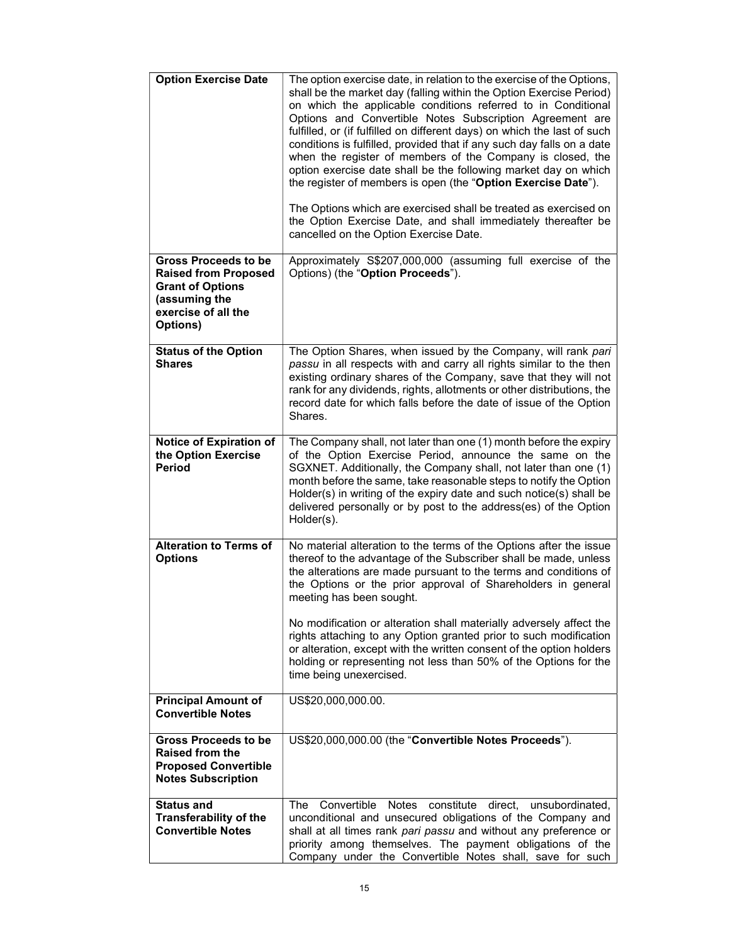| <b>Option Exercise Date</b>                                                                                                               | The option exercise date, in relation to the exercise of the Options,<br>shall be the market day (falling within the Option Exercise Period)<br>on which the applicable conditions referred to in Conditional<br>Options and Convertible Notes Subscription Agreement are<br>fulfilled, or (if fulfilled on different days) on which the last of such<br>conditions is fulfilled, provided that if any such day falls on a date<br>when the register of members of the Company is closed, the<br>option exercise date shall be the following market day on which<br>the register of members is open (the "Option Exercise Date").<br>The Options which are exercised shall be treated as exercised on<br>the Option Exercise Date, and shall immediately thereafter be<br>cancelled on the Option Exercise Date. |
|-------------------------------------------------------------------------------------------------------------------------------------------|------------------------------------------------------------------------------------------------------------------------------------------------------------------------------------------------------------------------------------------------------------------------------------------------------------------------------------------------------------------------------------------------------------------------------------------------------------------------------------------------------------------------------------------------------------------------------------------------------------------------------------------------------------------------------------------------------------------------------------------------------------------------------------------------------------------|
| <b>Gross Proceeds to be</b><br><b>Raised from Proposed</b><br><b>Grant of Options</b><br>(assuming the<br>exercise of all the<br>Options) | Approximately S\$207,000,000 (assuming full exercise of the<br>Options) (the "Option Proceeds").                                                                                                                                                                                                                                                                                                                                                                                                                                                                                                                                                                                                                                                                                                                 |
| <b>Status of the Option</b><br><b>Shares</b>                                                                                              | The Option Shares, when issued by the Company, will rank pari<br>passu in all respects with and carry all rights similar to the then<br>existing ordinary shares of the Company, save that they will not<br>rank for any dividends, rights, allotments or other distributions, the<br>record date for which falls before the date of issue of the Option<br>Shares.                                                                                                                                                                                                                                                                                                                                                                                                                                              |
| Notice of Expiration of<br>the Option Exercise<br><b>Period</b>                                                                           | The Company shall, not later than one (1) month before the expiry<br>of the Option Exercise Period, announce the same on the<br>SGXNET. Additionally, the Company shall, not later than one (1)<br>month before the same, take reasonable steps to notify the Option<br>Holder(s) in writing of the expiry date and such notice(s) shall be<br>delivered personally or by post to the address(es) of the Option<br>Holder(s).                                                                                                                                                                                                                                                                                                                                                                                    |
| <b>Alteration to Terms of</b><br><b>Options</b>                                                                                           | No material alteration to the terms of the Options after the issue<br>thereof to the advantage of the Subscriber shall be made, unless<br>the alterations are made pursuant to the terms and conditions of<br>the Options or the prior approval of Shareholders in general<br>meeting has been sought.<br>No modification or alteration shall materially adversely affect the<br>rights attaching to any Option granted prior to such modification<br>or alteration, except with the written consent of the option holders<br>holding or representing not less than 50% of the Options for the<br>time being unexercised.                                                                                                                                                                                        |
| <b>Principal Amount of</b><br><b>Convertible Notes</b>                                                                                    | US\$20,000,000.00.                                                                                                                                                                                                                                                                                                                                                                                                                                                                                                                                                                                                                                                                                                                                                                                               |
| <b>Gross Proceeds to be</b><br><b>Raised from the</b><br><b>Proposed Convertible</b><br><b>Notes Subscription</b>                         | US\$20,000,000.00 (the "Convertible Notes Proceeds").                                                                                                                                                                                                                                                                                                                                                                                                                                                                                                                                                                                                                                                                                                                                                            |
| <b>Status and</b><br><b>Transferability of the</b><br><b>Convertible Notes</b>                                                            | The<br>Convertible<br>Notes<br>constitute<br>direct,<br>unsubordinated,<br>unconditional and unsecured obligations of the Company and<br>shall at all times rank pari passu and without any preference or<br>priority among themselves. The payment obligations of the<br>Company under the Convertible Notes shall, save for such                                                                                                                                                                                                                                                                                                                                                                                                                                                                               |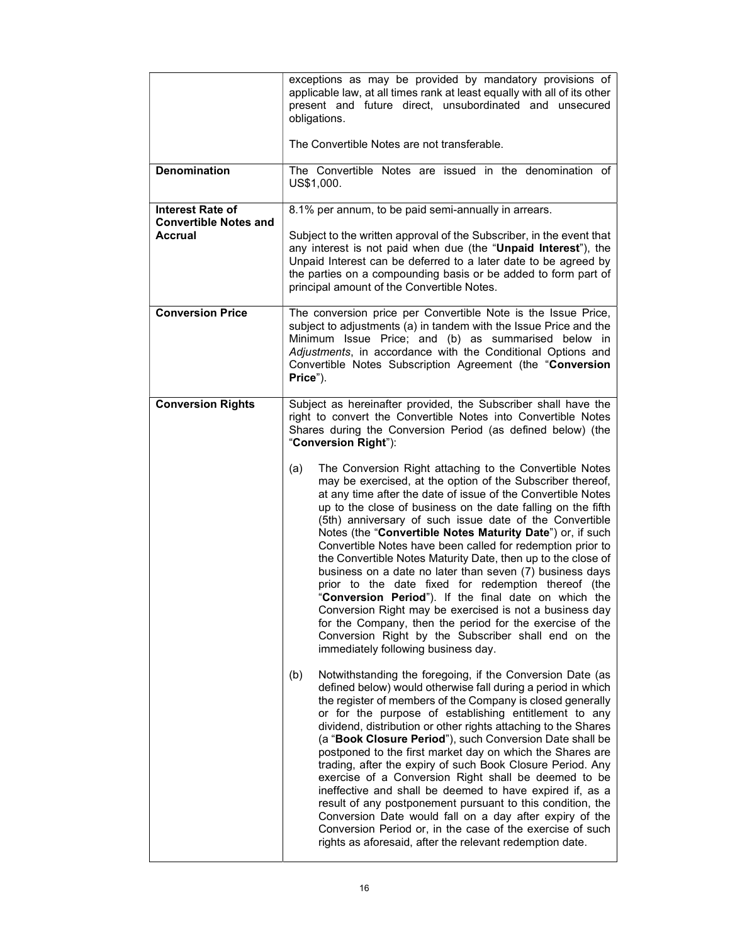|                                                                    | exceptions as may be provided by mandatory provisions of<br>applicable law, at all times rank at least equally with all of its other<br>present and future direct, unsubordinated and unsecured<br>obligations.<br>The Convertible Notes are not transferable.                                                                                                                                                                                                                                                                                                                                                                                                                                                                                                                                                                                                                                                                                                                                                                                                                                                                                                                                                                                                                                                                                                                                                                                                                                                                                                                                                                                                                                                                                                                                                                                                                                                                                                                                                                         |
|--------------------------------------------------------------------|----------------------------------------------------------------------------------------------------------------------------------------------------------------------------------------------------------------------------------------------------------------------------------------------------------------------------------------------------------------------------------------------------------------------------------------------------------------------------------------------------------------------------------------------------------------------------------------------------------------------------------------------------------------------------------------------------------------------------------------------------------------------------------------------------------------------------------------------------------------------------------------------------------------------------------------------------------------------------------------------------------------------------------------------------------------------------------------------------------------------------------------------------------------------------------------------------------------------------------------------------------------------------------------------------------------------------------------------------------------------------------------------------------------------------------------------------------------------------------------------------------------------------------------------------------------------------------------------------------------------------------------------------------------------------------------------------------------------------------------------------------------------------------------------------------------------------------------------------------------------------------------------------------------------------------------------------------------------------------------------------------------------------------------|
| <b>Denomination</b>                                                | The Convertible Notes are issued in the denomination of<br>US\$1,000.                                                                                                                                                                                                                                                                                                                                                                                                                                                                                                                                                                                                                                                                                                                                                                                                                                                                                                                                                                                                                                                                                                                                                                                                                                                                                                                                                                                                                                                                                                                                                                                                                                                                                                                                                                                                                                                                                                                                                                  |
| <b>Interest Rate of</b><br><b>Convertible Notes and</b><br>Accrual | 8.1% per annum, to be paid semi-annually in arrears.<br>Subject to the written approval of the Subscriber, in the event that<br>any interest is not paid when due (the "Unpaid Interest"), the<br>Unpaid Interest can be deferred to a later date to be agreed by<br>the parties on a compounding basis or be added to form part of<br>principal amount of the Convertible Notes.                                                                                                                                                                                                                                                                                                                                                                                                                                                                                                                                                                                                                                                                                                                                                                                                                                                                                                                                                                                                                                                                                                                                                                                                                                                                                                                                                                                                                                                                                                                                                                                                                                                      |
| <b>Conversion Price</b>                                            | The conversion price per Convertible Note is the Issue Price,<br>subject to adjustments (a) in tandem with the Issue Price and the<br>Minimum Issue Price; and (b) as summarised below in<br>Adjustments, in accordance with the Conditional Options and<br>Convertible Notes Subscription Agreement (the "Conversion<br>Price").                                                                                                                                                                                                                                                                                                                                                                                                                                                                                                                                                                                                                                                                                                                                                                                                                                                                                                                                                                                                                                                                                                                                                                                                                                                                                                                                                                                                                                                                                                                                                                                                                                                                                                      |
| <b>Conversion Rights</b>                                           | Subject as hereinafter provided, the Subscriber shall have the<br>right to convert the Convertible Notes into Convertible Notes<br>Shares during the Conversion Period (as defined below) (the<br>"Conversion Right"):<br>The Conversion Right attaching to the Convertible Notes<br>(a)<br>may be exercised, at the option of the Subscriber thereof,<br>at any time after the date of issue of the Convertible Notes<br>up to the close of business on the date falling on the fifth<br>(5th) anniversary of such issue date of the Convertible<br>Notes (the "Convertible Notes Maturity Date") or, if such<br>Convertible Notes have been called for redemption prior to<br>the Convertible Notes Maturity Date, then up to the close of<br>business on a date no later than seven (7) business days<br>prior to the date fixed for redemption thereof (the<br>"Conversion Period"). If the final date on which the<br>Conversion Right may be exercised is not a business day<br>for the Company, then the period for the exercise of the<br>Conversion Right by the Subscriber shall end on the<br>immediately following business day.<br>Notwithstanding the foregoing, if the Conversion Date (as<br>(b)<br>defined below) would otherwise fall during a period in which<br>the register of members of the Company is closed generally<br>or for the purpose of establishing entitlement to any<br>dividend, distribution or other rights attaching to the Shares<br>(a "Book Closure Period"), such Conversion Date shall be<br>postponed to the first market day on which the Shares are<br>trading, after the expiry of such Book Closure Period. Any<br>exercise of a Conversion Right shall be deemed to be<br>ineffective and shall be deemed to have expired if, as a<br>result of any postponement pursuant to this condition, the<br>Conversion Date would fall on a day after expiry of the<br>Conversion Period or, in the case of the exercise of such<br>rights as aforesaid, after the relevant redemption date. |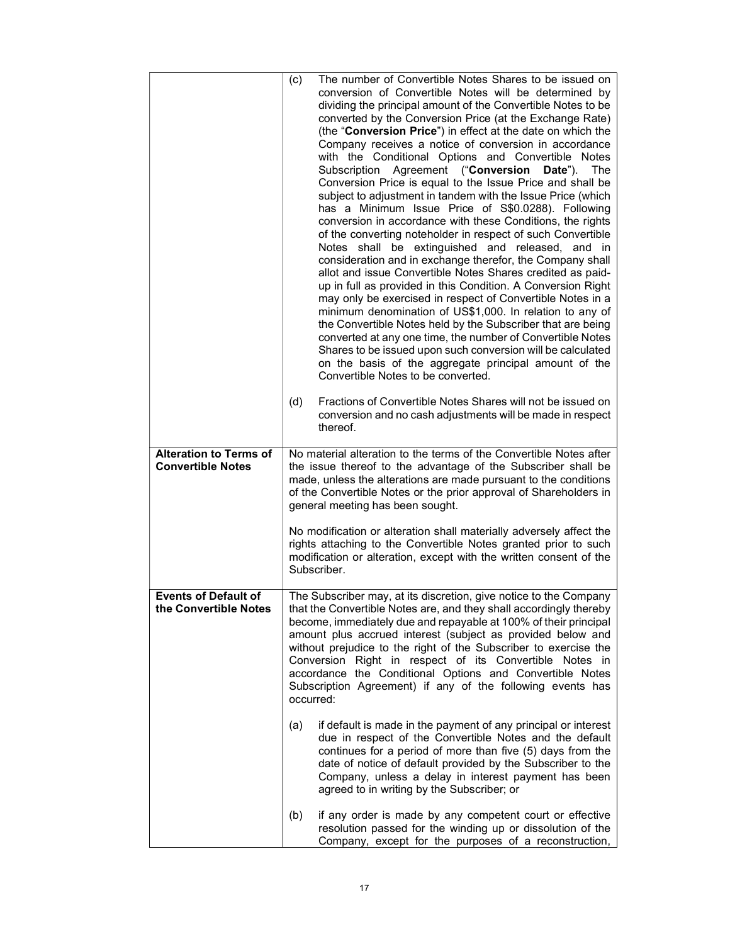|                                                           | The number of Convertible Notes Shares to be issued on<br>(c)<br>conversion of Convertible Notes will be determined by<br>dividing the principal amount of the Convertible Notes to be<br>converted by the Conversion Price (at the Exchange Rate)<br>(the "Conversion Price") in effect at the date on which the<br>Company receives a notice of conversion in accordance<br>with the Conditional Options and Convertible Notes<br>Subscription Agreement ("Conversion Date"). The<br>Conversion Price is equal to the Issue Price and shall be<br>subject to adjustment in tandem with the Issue Price (which<br>has a Minimum Issue Price of S\$0.0288). Following<br>conversion in accordance with these Conditions, the rights<br>of the converting noteholder in respect of such Convertible<br>Notes shall be extinguished and released, and in<br>consideration and in exchange therefor, the Company shall<br>allot and issue Convertible Notes Shares credited as paid-<br>up in full as provided in this Condition. A Conversion Right<br>may only be exercised in respect of Convertible Notes in a<br>minimum denomination of US\$1,000. In relation to any of<br>the Convertible Notes held by the Subscriber that are being<br>converted at any one time, the number of Convertible Notes<br>Shares to be issued upon such conversion will be calculated<br>on the basis of the aggregate principal amount of the<br>Convertible Notes to be converted.<br>Fractions of Convertible Notes Shares will not be issued on<br>(d) |
|-----------------------------------------------------------|----------------------------------------------------------------------------------------------------------------------------------------------------------------------------------------------------------------------------------------------------------------------------------------------------------------------------------------------------------------------------------------------------------------------------------------------------------------------------------------------------------------------------------------------------------------------------------------------------------------------------------------------------------------------------------------------------------------------------------------------------------------------------------------------------------------------------------------------------------------------------------------------------------------------------------------------------------------------------------------------------------------------------------------------------------------------------------------------------------------------------------------------------------------------------------------------------------------------------------------------------------------------------------------------------------------------------------------------------------------------------------------------------------------------------------------------------------------------------------------------------------------------------------------------|
|                                                           | conversion and no cash adjustments will be made in respect<br>thereof.                                                                                                                                                                                                                                                                                                                                                                                                                                                                                                                                                                                                                                                                                                                                                                                                                                                                                                                                                                                                                                                                                                                                                                                                                                                                                                                                                                                                                                                                       |
| <b>Alteration to Terms of</b><br><b>Convertible Notes</b> | No material alteration to the terms of the Convertible Notes after<br>the issue thereof to the advantage of the Subscriber shall be<br>made, unless the alterations are made pursuant to the conditions<br>of the Convertible Notes or the prior approval of Shareholders in<br>general meeting has been sought.                                                                                                                                                                                                                                                                                                                                                                                                                                                                                                                                                                                                                                                                                                                                                                                                                                                                                                                                                                                                                                                                                                                                                                                                                             |
|                                                           | No modification or alteration shall materially adversely affect the<br>rights attaching to the Convertible Notes granted prior to such<br>modification or alteration, except with the written consent of the<br>Subscriber.                                                                                                                                                                                                                                                                                                                                                                                                                                                                                                                                                                                                                                                                                                                                                                                                                                                                                                                                                                                                                                                                                                                                                                                                                                                                                                                  |
| <b>Events of Default of</b><br>the Convertible Notes      | The Subscriber may, at its discretion, give notice to the Company<br>that the Convertible Notes are, and they shall accordingly thereby<br>become, immediately due and repayable at 100% of their principal<br>amount plus accrued interest (subject as provided below and<br>without prejudice to the right of the Subscriber to exercise the<br>Conversion Right in respect of its Convertible Notes in<br>accordance the Conditional Options and Convertible Notes<br>Subscription Agreement) if any of the following events has<br>occurred:                                                                                                                                                                                                                                                                                                                                                                                                                                                                                                                                                                                                                                                                                                                                                                                                                                                                                                                                                                                             |
|                                                           | (a)<br>if default is made in the payment of any principal or interest<br>due in respect of the Convertible Notes and the default<br>continues for a period of more than five (5) days from the<br>date of notice of default provided by the Subscriber to the<br>Company, unless a delay in interest payment has been<br>agreed to in writing by the Subscriber; or                                                                                                                                                                                                                                                                                                                                                                                                                                                                                                                                                                                                                                                                                                                                                                                                                                                                                                                                                                                                                                                                                                                                                                          |
|                                                           | (b)<br>if any order is made by any competent court or effective<br>resolution passed for the winding up or dissolution of the<br>Company, except for the purposes of a reconstruction,                                                                                                                                                                                                                                                                                                                                                                                                                                                                                                                                                                                                                                                                                                                                                                                                                                                                                                                                                                                                                                                                                                                                                                                                                                                                                                                                                       |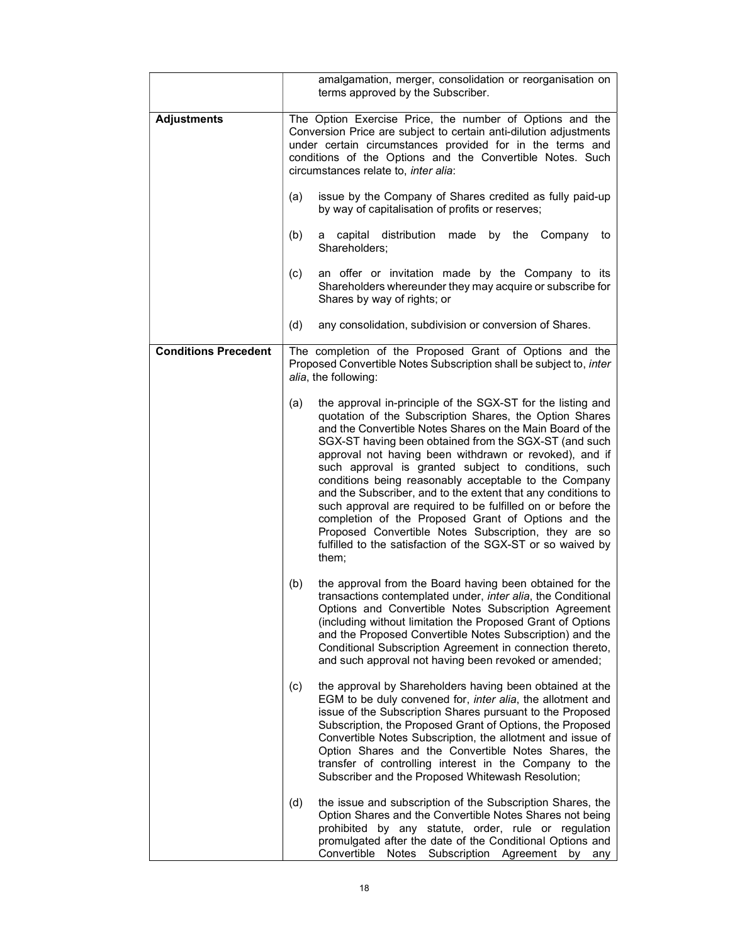|                             | amalgamation, merger, consolidation or reorganisation on<br>terms approved by the Subscriber.                                                                                                                                                                                                                                                                                                                                                                                                                                                                                                                                                                                                                                                        |
|-----------------------------|------------------------------------------------------------------------------------------------------------------------------------------------------------------------------------------------------------------------------------------------------------------------------------------------------------------------------------------------------------------------------------------------------------------------------------------------------------------------------------------------------------------------------------------------------------------------------------------------------------------------------------------------------------------------------------------------------------------------------------------------------|
| <b>Adjustments</b>          | The Option Exercise Price, the number of Options and the<br>Conversion Price are subject to certain anti-dilution adjustments<br>under certain circumstances provided for in the terms and<br>conditions of the Options and the Convertible Notes. Such<br>circumstances relate to, inter alia:                                                                                                                                                                                                                                                                                                                                                                                                                                                      |
|                             | issue by the Company of Shares credited as fully paid-up<br>(a)<br>by way of capitalisation of profits or reserves;                                                                                                                                                                                                                                                                                                                                                                                                                                                                                                                                                                                                                                  |
|                             | (b)<br>capital distribution<br>made by the<br>Company<br>to<br>a<br>Shareholders;                                                                                                                                                                                                                                                                                                                                                                                                                                                                                                                                                                                                                                                                    |
|                             | an offer or invitation made by the Company to its<br>(c)<br>Shareholders whereunder they may acquire or subscribe for<br>Shares by way of rights; or                                                                                                                                                                                                                                                                                                                                                                                                                                                                                                                                                                                                 |
|                             | (d)<br>any consolidation, subdivision or conversion of Shares.                                                                                                                                                                                                                                                                                                                                                                                                                                                                                                                                                                                                                                                                                       |
| <b>Conditions Precedent</b> | The completion of the Proposed Grant of Options and the<br>Proposed Convertible Notes Subscription shall be subject to, inter<br>alia, the following:                                                                                                                                                                                                                                                                                                                                                                                                                                                                                                                                                                                                |
|                             | the approval in-principle of the SGX-ST for the listing and<br>(a)<br>quotation of the Subscription Shares, the Option Shares<br>and the Convertible Notes Shares on the Main Board of the<br>SGX-ST having been obtained from the SGX-ST (and such<br>approval not having been withdrawn or revoked), and if<br>such approval is granted subject to conditions, such<br>conditions being reasonably acceptable to the Company<br>and the Subscriber, and to the extent that any conditions to<br>such approval are required to be fulfilled on or before the<br>completion of the Proposed Grant of Options and the<br>Proposed Convertible Notes Subscription, they are so<br>fulfilled to the satisfaction of the SGX-ST or so waived by<br>them; |
|                             | (b)<br>the approval from the Board having been obtained for the<br>transactions contemplated under, inter alia, the Conditional<br>Options and Convertible Notes Subscription Agreement<br>(including without limitation the Proposed Grant of Options<br>and the Proposed Convertible Notes Subscription) and the<br>Conditional Subscription Agreement in connection thereto,<br>and such approval not having been revoked or amended;                                                                                                                                                                                                                                                                                                             |
|                             | the approval by Shareholders having been obtained at the<br>(c)<br>EGM to be duly convened for, inter alia, the allotment and<br>issue of the Subscription Shares pursuant to the Proposed<br>Subscription, the Proposed Grant of Options, the Proposed<br>Convertible Notes Subscription, the allotment and issue of<br>Option Shares and the Convertible Notes Shares, the<br>transfer of controlling interest in the Company to the<br>Subscriber and the Proposed Whitewash Resolution;                                                                                                                                                                                                                                                          |
|                             | (d)<br>the issue and subscription of the Subscription Shares, the<br>Option Shares and the Convertible Notes Shares not being<br>prohibited by any statute, order, rule or regulation<br>promulgated after the date of the Conditional Options and<br>Convertible Notes Subscription Agreement by any                                                                                                                                                                                                                                                                                                                                                                                                                                                |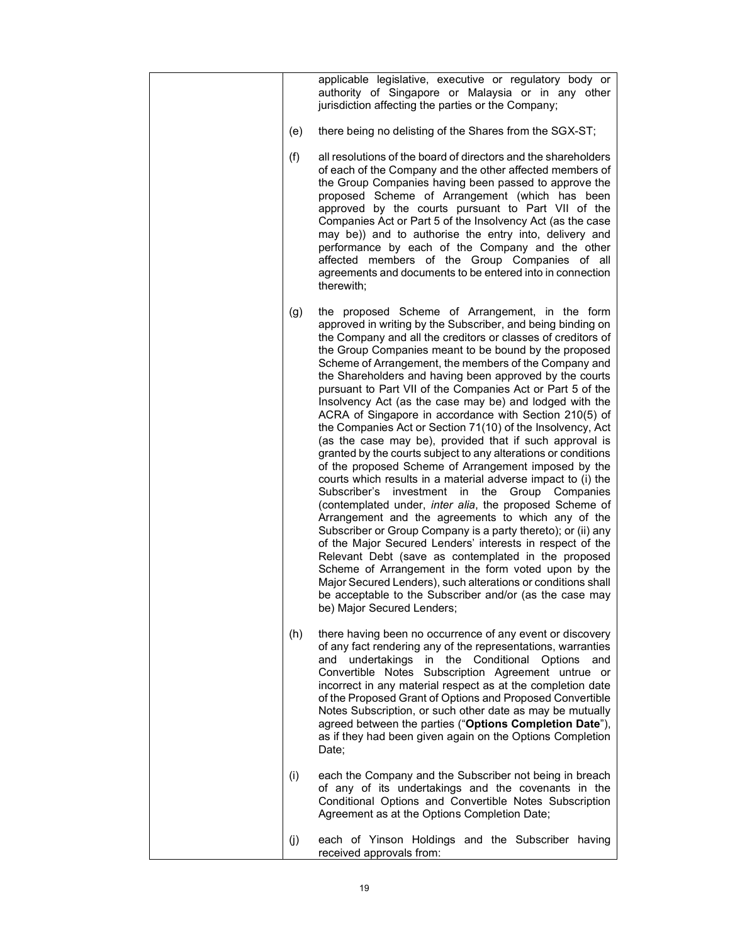|     | applicable legislative, executive or regulatory body or<br>authority of Singapore or Malaysia or in any other<br>jurisdiction affecting the parties or the Company;                                                                                                                                                                                                                                                                                                                                                                                                                                                                                                                                                                                                                                                                                                                                                                                                                                                                                                                                                                                                                                                                                                                                                                                                                                                                      |
|-----|------------------------------------------------------------------------------------------------------------------------------------------------------------------------------------------------------------------------------------------------------------------------------------------------------------------------------------------------------------------------------------------------------------------------------------------------------------------------------------------------------------------------------------------------------------------------------------------------------------------------------------------------------------------------------------------------------------------------------------------------------------------------------------------------------------------------------------------------------------------------------------------------------------------------------------------------------------------------------------------------------------------------------------------------------------------------------------------------------------------------------------------------------------------------------------------------------------------------------------------------------------------------------------------------------------------------------------------------------------------------------------------------------------------------------------------|
| (e) | there being no delisting of the Shares from the SGX-ST;                                                                                                                                                                                                                                                                                                                                                                                                                                                                                                                                                                                                                                                                                                                                                                                                                                                                                                                                                                                                                                                                                                                                                                                                                                                                                                                                                                                  |
| (f) | all resolutions of the board of directors and the shareholders<br>of each of the Company and the other affected members of<br>the Group Companies having been passed to approve the<br>proposed Scheme of Arrangement (which has been<br>approved by the courts pursuant to Part VII of the<br>Companies Act or Part 5 of the Insolvency Act (as the case<br>may be)) and to authorise the entry into, delivery and<br>performance by each of the Company and the other<br>affected members of the Group Companies of all<br>agreements and documents to be entered into in connection<br>therewith;                                                                                                                                                                                                                                                                                                                                                                                                                                                                                                                                                                                                                                                                                                                                                                                                                                     |
| (g) | the proposed Scheme of Arrangement, in the form<br>approved in writing by the Subscriber, and being binding on<br>the Company and all the creditors or classes of creditors of<br>the Group Companies meant to be bound by the proposed<br>Scheme of Arrangement, the members of the Company and<br>the Shareholders and having been approved by the courts<br>pursuant to Part VII of the Companies Act or Part 5 of the<br>Insolvency Act (as the case may be) and lodged with the<br>ACRA of Singapore in accordance with Section 210(5) of<br>the Companies Act or Section 71(10) of the Insolvency, Act<br>(as the case may be), provided that if such approval is<br>granted by the courts subject to any alterations or conditions<br>of the proposed Scheme of Arrangement imposed by the<br>courts which results in a material adverse impact to (i) the<br>Subscriber's investment in the Group Companies<br>(contemplated under, inter alia, the proposed Scheme of<br>Arrangement and the agreements to which any of the<br>Subscriber or Group Company is a party thereto); or (ii) any<br>of the Major Secured Lenders' interests in respect of the<br>Relevant Debt (save as contemplated in the proposed<br>Scheme of Arrangement in the form voted upon by the<br>Major Secured Lenders), such alterations or conditions shall<br>be acceptable to the Subscriber and/or (as the case may<br>be) Major Secured Lenders; |
| (h) | there having been no occurrence of any event or discovery<br>of any fact rendering any of the representations, warranties<br>undertakings in the Conditional Options<br>and<br>and<br>Convertible Notes Subscription Agreement untrue or<br>incorrect in any material respect as at the completion date<br>of the Proposed Grant of Options and Proposed Convertible<br>Notes Subscription, or such other date as may be mutually<br>agreed between the parties ("Options Completion Date"),<br>as if they had been given again on the Options Completion<br>Date;                                                                                                                                                                                                                                                                                                                                                                                                                                                                                                                                                                                                                                                                                                                                                                                                                                                                       |
| (i) | each the Company and the Subscriber not being in breach<br>of any of its undertakings and the covenants in the<br>Conditional Options and Convertible Notes Subscription<br>Agreement as at the Options Completion Date;                                                                                                                                                                                                                                                                                                                                                                                                                                                                                                                                                                                                                                                                                                                                                                                                                                                                                                                                                                                                                                                                                                                                                                                                                 |
| (j) | each of Yinson Holdings and the Subscriber having<br>received approvals from:                                                                                                                                                                                                                                                                                                                                                                                                                                                                                                                                                                                                                                                                                                                                                                                                                                                                                                                                                                                                                                                                                                                                                                                                                                                                                                                                                            |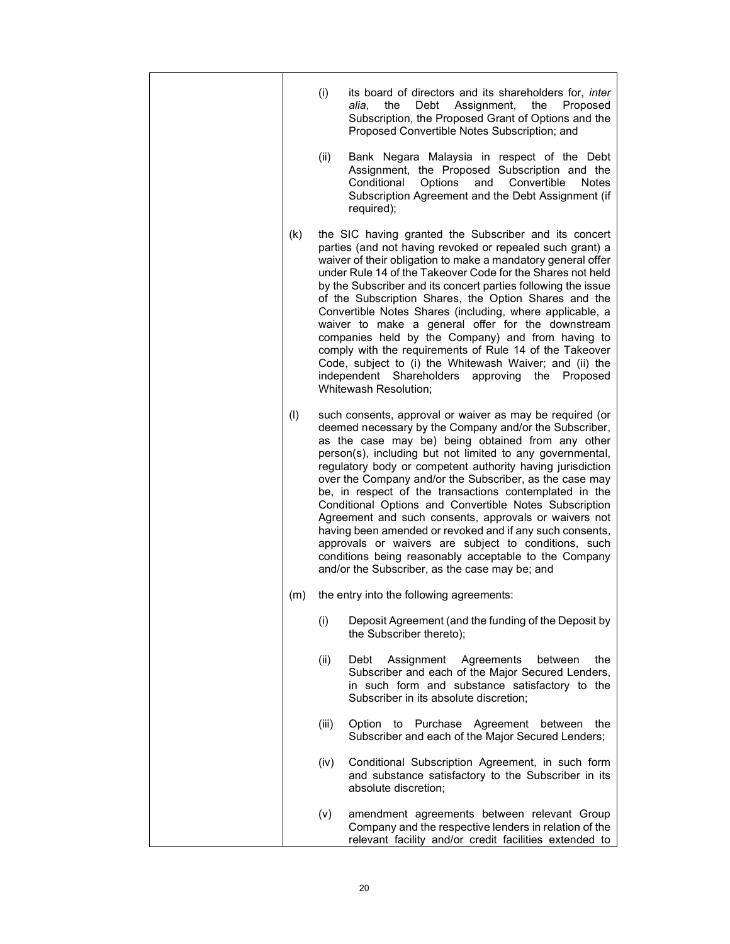|     | (i)   | its board of directors and its shareholders for, <i>inter</i><br>the<br>Debt<br>Assignment,<br>the<br>Proposed<br>alia.<br>Subscription, the Proposed Grant of Options and the<br>Proposed Convertible Notes Subscription; and                                                                                                                                                                                                                                                                                                                                                                                                                                                                                                                                            |
|-----|-------|---------------------------------------------------------------------------------------------------------------------------------------------------------------------------------------------------------------------------------------------------------------------------------------------------------------------------------------------------------------------------------------------------------------------------------------------------------------------------------------------------------------------------------------------------------------------------------------------------------------------------------------------------------------------------------------------------------------------------------------------------------------------------|
|     | (ii)  | Bank Negara Malaysia in respect of the Debt<br>Assignment, the Proposed Subscription and the<br>Conditional<br>Options<br>and<br>Convertible<br><b>Notes</b><br>Subscription Agreement and the Debt Assignment (if<br>required);                                                                                                                                                                                                                                                                                                                                                                                                                                                                                                                                          |
| (k) |       | the SIC having granted the Subscriber and its concert<br>parties (and not having revoked or repealed such grant) a<br>waiver of their obligation to make a mandatory general offer<br>under Rule 14 of the Takeover Code for the Shares not held<br>by the Subscriber and its concert parties following the issue<br>of the Subscription Shares, the Option Shares and the<br>Convertible Notes Shares (including, where applicable, a<br>waiver to make a general offer for the downstream<br>companies held by the Company) and from having to<br>comply with the requirements of Rule 14 of the Takeover<br>Code, subject to (i) the Whitewash Waiver; and (ii) the<br>independent Shareholders<br>approving the<br>Proposed<br>Whitewash Resolution;                  |
| (1) |       | such consents, approval or waiver as may be required (or<br>deemed necessary by the Company and/or the Subscriber,<br>as the case may be) being obtained from any other<br>person(s), including but not limited to any governmental,<br>regulatory body or competent authority having jurisdiction<br>over the Company and/or the Subscriber, as the case may<br>be, in respect of the transactions contemplated in the<br>Conditional Options and Convertible Notes Subscription<br>Agreement and such consents, approvals or waivers not<br>having been amended or revoked and if any such consents,<br>approvals or waivers are subject to conditions, such<br>conditions being reasonably acceptable to the Company<br>and/or the Subscriber, as the case may be; and |
| (m) |       | the entry into the following agreements:                                                                                                                                                                                                                                                                                                                                                                                                                                                                                                                                                                                                                                                                                                                                  |
|     | (i)   | Deposit Agreement (and the funding of the Deposit by<br>the Subscriber thereto);                                                                                                                                                                                                                                                                                                                                                                                                                                                                                                                                                                                                                                                                                          |
|     | (ii)  | Debt<br>Assignment<br>Agreements<br>the<br>between<br>Subscriber and each of the Major Secured Lenders,<br>in such form and substance satisfactory to the<br>Subscriber in its absolute discretion;                                                                                                                                                                                                                                                                                                                                                                                                                                                                                                                                                                       |
|     | (iii) | Option to Purchase Agreement between<br>the<br>Subscriber and each of the Major Secured Lenders;                                                                                                                                                                                                                                                                                                                                                                                                                                                                                                                                                                                                                                                                          |
|     | (iv)  | Conditional Subscription Agreement, in such form<br>and substance satisfactory to the Subscriber in its<br>absolute discretion;                                                                                                                                                                                                                                                                                                                                                                                                                                                                                                                                                                                                                                           |
|     | (v)   | amendment agreements between relevant Group<br>Company and the respective lenders in relation of the<br>relevant facility and/or credit facilities extended to                                                                                                                                                                                                                                                                                                                                                                                                                                                                                                                                                                                                            |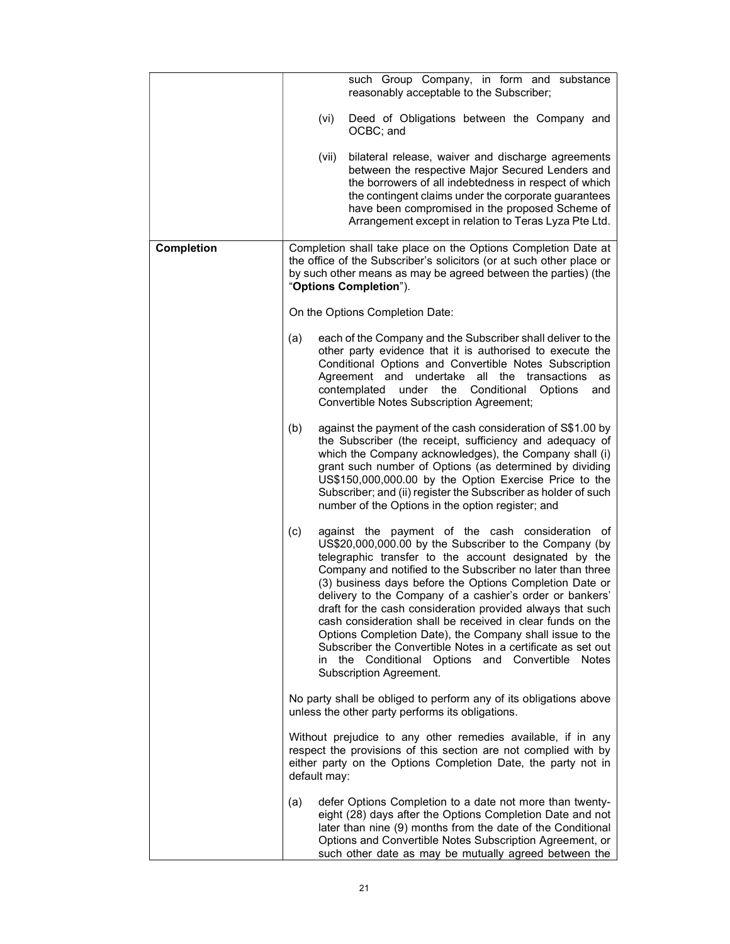|                   | such Group Company, in form and substance<br>reasonably acceptable to the Subscriber;                                                                                                                                                                                                                                                                                                                                                                                                                                                                                                                                                                                                                            |
|-------------------|------------------------------------------------------------------------------------------------------------------------------------------------------------------------------------------------------------------------------------------------------------------------------------------------------------------------------------------------------------------------------------------------------------------------------------------------------------------------------------------------------------------------------------------------------------------------------------------------------------------------------------------------------------------------------------------------------------------|
|                   | (vi)<br>Deed of Obligations between the Company and<br>OCBC; and                                                                                                                                                                                                                                                                                                                                                                                                                                                                                                                                                                                                                                                 |
|                   | bilateral release, waiver and discharge agreements<br>(vii)<br>between the respective Major Secured Lenders and<br>the borrowers of all indebtedness in respect of which<br>the contingent claims under the corporate guarantees<br>have been compromised in the proposed Scheme of<br>Arrangement except in relation to Teras Lyza Pte Ltd.                                                                                                                                                                                                                                                                                                                                                                     |
| <b>Completion</b> | Completion shall take place on the Options Completion Date at<br>the office of the Subscriber's solicitors (or at such other place or<br>by such other means as may be agreed between the parties) (the<br>"Options Completion").                                                                                                                                                                                                                                                                                                                                                                                                                                                                                |
|                   | On the Options Completion Date:                                                                                                                                                                                                                                                                                                                                                                                                                                                                                                                                                                                                                                                                                  |
|                   | each of the Company and the Subscriber shall deliver to the<br>(a)<br>other party evidence that it is authorised to execute the<br>Conditional Options and Convertible Notes Subscription<br>Agreement and undertake all the transactions<br>as<br>contemplated<br>under the Conditional Options<br>and<br><b>Convertible Notes Subscription Agreement;</b>                                                                                                                                                                                                                                                                                                                                                      |
|                   | (b)<br>against the payment of the cash consideration of S\$1.00 by<br>the Subscriber (the receipt, sufficiency and adequacy of<br>which the Company acknowledges), the Company shall (i)<br>grant such number of Options (as determined by dividing<br>US\$150,000,000.00 by the Option Exercise Price to the<br>Subscriber; and (ii) register the Subscriber as holder of such<br>number of the Options in the option register; and                                                                                                                                                                                                                                                                             |
|                   | (c)<br>against the payment of the cash consideration of<br>US\$20,000,000.00 by the Subscriber to the Company (by<br>telegraphic transfer to the account designated by the<br>Company and notified to the Subscriber no later than three<br>(3) business days before the Options Completion Date or<br>delivery to the Company of a cashier's order or bankers'<br>draft for the cash consideration provided always that such<br>cash consideration shall be received in clear funds on the<br>Options Completion Date), the Company shall issue to the<br>Subscriber the Convertible Notes in a certificate as set out<br>in the Conditional Options and Convertible<br><b>Notes</b><br>Subscription Agreement. |
|                   | No party shall be obliged to perform any of its obligations above<br>unless the other party performs its obligations.                                                                                                                                                                                                                                                                                                                                                                                                                                                                                                                                                                                            |
|                   | Without prejudice to any other remedies available, if in any<br>respect the provisions of this section are not complied with by<br>either party on the Options Completion Date, the party not in<br>default may:                                                                                                                                                                                                                                                                                                                                                                                                                                                                                                 |
|                   | defer Options Completion to a date not more than twenty-<br>(a)<br>eight (28) days after the Options Completion Date and not<br>later than nine (9) months from the date of the Conditional<br>Options and Convertible Notes Subscription Agreement, or<br>such other date as may be mutually agreed between the                                                                                                                                                                                                                                                                                                                                                                                                 |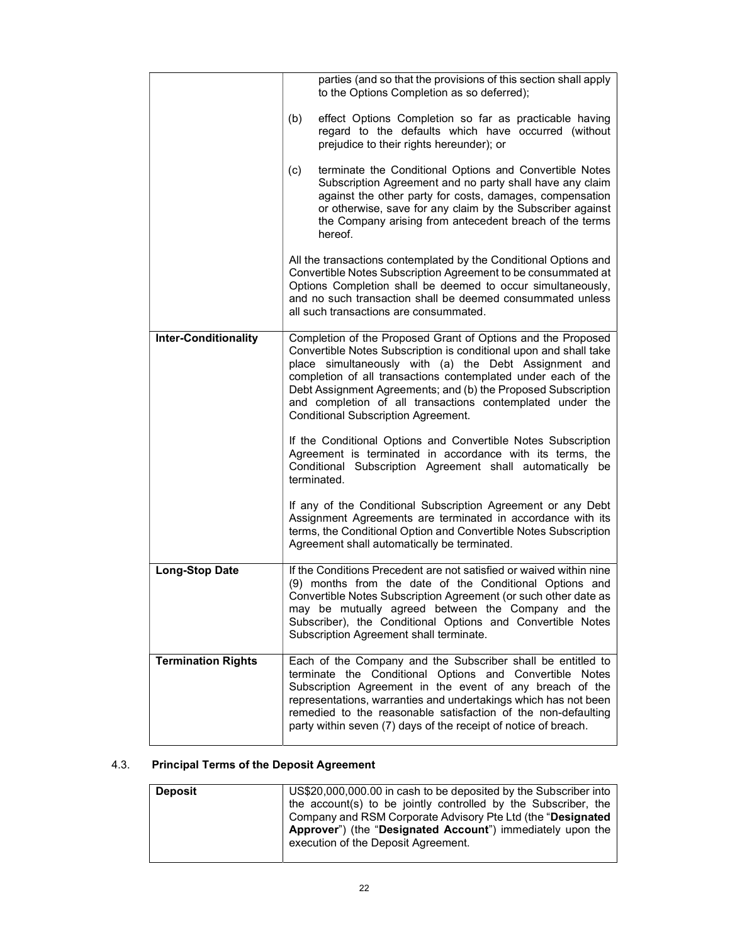|                             | parties (and so that the provisions of this section shall apply<br>to the Options Completion as so deferred);                                                                                                                                                                                                                                                                                                                           |
|-----------------------------|-----------------------------------------------------------------------------------------------------------------------------------------------------------------------------------------------------------------------------------------------------------------------------------------------------------------------------------------------------------------------------------------------------------------------------------------|
|                             | effect Options Completion so far as practicable having<br>(b)<br>regard to the defaults which have occurred (without<br>prejudice to their rights hereunder); or                                                                                                                                                                                                                                                                        |
|                             | (c)<br>terminate the Conditional Options and Convertible Notes<br>Subscription Agreement and no party shall have any claim<br>against the other party for costs, damages, compensation<br>or otherwise, save for any claim by the Subscriber against<br>the Company arising from antecedent breach of the terms<br>hereof.                                                                                                              |
|                             | All the transactions contemplated by the Conditional Options and<br>Convertible Notes Subscription Agreement to be consummated at<br>Options Completion shall be deemed to occur simultaneously,<br>and no such transaction shall be deemed consummated unless<br>all such transactions are consummated.                                                                                                                                |
| <b>Inter-Conditionality</b> | Completion of the Proposed Grant of Options and the Proposed<br>Convertible Notes Subscription is conditional upon and shall take<br>place simultaneously with (a) the Debt Assignment and<br>completion of all transactions contemplated under each of the<br>Debt Assignment Agreements; and (b) the Proposed Subscription<br>and completion of all transactions contemplated under the<br><b>Conditional Subscription Agreement.</b> |
|                             | If the Conditional Options and Convertible Notes Subscription<br>Agreement is terminated in accordance with its terms, the<br>Conditional Subscription Agreement shall automatically be<br>terminated.                                                                                                                                                                                                                                  |
|                             | If any of the Conditional Subscription Agreement or any Debt<br>Assignment Agreements are terminated in accordance with its<br>terms, the Conditional Option and Convertible Notes Subscription<br>Agreement shall automatically be terminated.                                                                                                                                                                                         |
| <b>Long-Stop Date</b>       | If the Conditions Precedent are not satisfied or waived within nine<br>(9) months from the date of the Conditional Options and<br>Convertible Notes Subscription Agreement (or such other date as<br>may be mutually agreed between the Company and the<br>Subscriber), the Conditional Options and Convertible Notes<br>Subscription Agreement shall terminate.                                                                        |
| <b>Termination Rights</b>   | Each of the Company and the Subscriber shall be entitled to<br>terminate the Conditional Options and Convertible Notes<br>Subscription Agreement in the event of any breach of the<br>representations, warranties and undertakings which has not been<br>remedied to the reasonable satisfaction of the non-defaulting<br>party within seven (7) days of the receipt of notice of breach.                                               |

# 4.3. Principal Terms of the Deposit Agreement

| <b>Deposit</b> | US\$20,000,000.00 in cash to be deposited by the Subscriber into<br>the account(s) to be jointly controlled by the Subscriber, the<br>Company and RSM Corporate Advisory Pte Ltd (the "Designated"<br>Approver") (the "Designated Account") immediately upon the<br>execution of the Deposit Agreement. |
|----------------|---------------------------------------------------------------------------------------------------------------------------------------------------------------------------------------------------------------------------------------------------------------------------------------------------------|
|----------------|---------------------------------------------------------------------------------------------------------------------------------------------------------------------------------------------------------------------------------------------------------------------------------------------------------|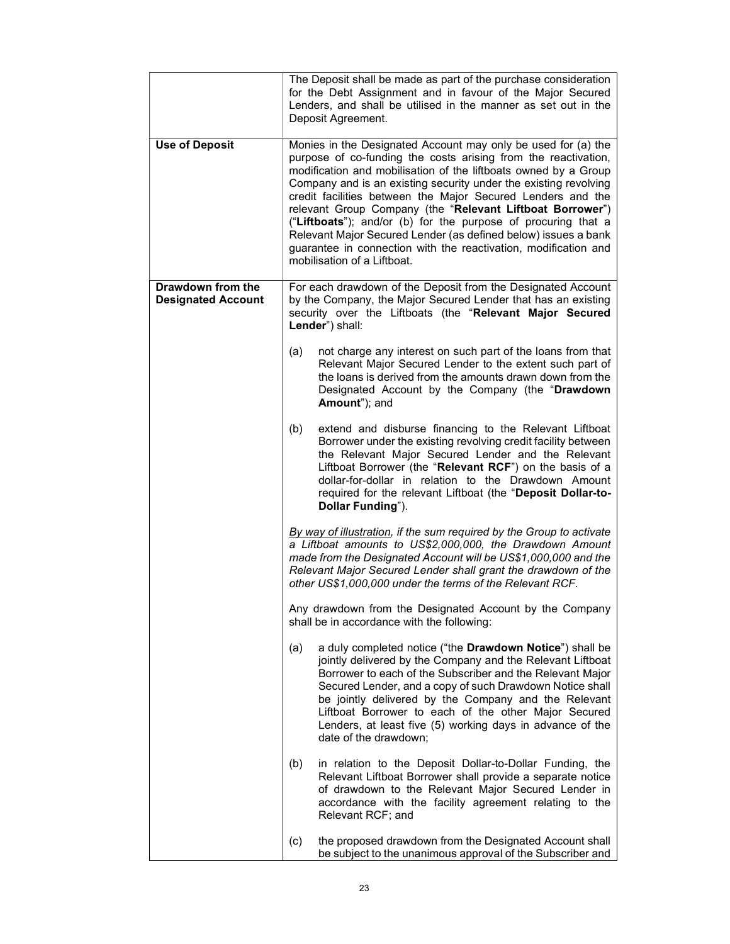|                                                | The Deposit shall be made as part of the purchase consideration<br>for the Debt Assignment and in favour of the Major Secured<br>Lenders, and shall be utilised in the manner as set out in the<br>Deposit Agreement.                                                                                                                                                                                                                                                                                                                                                                                                                   |
|------------------------------------------------|-----------------------------------------------------------------------------------------------------------------------------------------------------------------------------------------------------------------------------------------------------------------------------------------------------------------------------------------------------------------------------------------------------------------------------------------------------------------------------------------------------------------------------------------------------------------------------------------------------------------------------------------|
| <b>Use of Deposit</b>                          | Monies in the Designated Account may only be used for (a) the<br>purpose of co-funding the costs arising from the reactivation,<br>modification and mobilisation of the liftboats owned by a Group<br>Company and is an existing security under the existing revolving<br>credit facilities between the Major Secured Lenders and the<br>relevant Group Company (the "Relevant Liftboat Borrower")<br>("Liftboats"); and/or (b) for the purpose of procuring that a<br>Relevant Major Secured Lender (as defined below) issues a bank<br>guarantee in connection with the reactivation, modification and<br>mobilisation of a Liftboat. |
| Drawdown from the<br><b>Designated Account</b> | For each drawdown of the Deposit from the Designated Account<br>by the Company, the Major Secured Lender that has an existing<br>security over the Liftboats (the "Relevant Major Secured<br>Lender") shall:                                                                                                                                                                                                                                                                                                                                                                                                                            |
|                                                | (a)<br>not charge any interest on such part of the loans from that<br>Relevant Major Secured Lender to the extent such part of<br>the loans is derived from the amounts drawn down from the<br>Designated Account by the Company (the "Drawdown<br>Amount"); and                                                                                                                                                                                                                                                                                                                                                                        |
|                                                | (b)<br>extend and disburse financing to the Relevant Liftboat<br>Borrower under the existing revolving credit facility between<br>the Relevant Major Secured Lender and the Relevant<br>Liftboat Borrower (the "Relevant RCF") on the basis of a<br>dollar-for-dollar in relation to the Drawdown Amount<br>required for the relevant Liftboat (the "Deposit Dollar-to-<br>Dollar Funding").                                                                                                                                                                                                                                            |
|                                                | By way of illustration, if the sum required by the Group to activate<br>a Liftboat amounts to US\$2,000,000, the Drawdown Amount<br>made from the Designated Account will be US\$1,000,000 and the<br>Relevant Major Secured Lender shall grant the drawdown of the<br>other US\$1,000,000 under the terms of the Relevant RCF.                                                                                                                                                                                                                                                                                                         |
|                                                | Any drawdown from the Designated Account by the Company<br>shall be in accordance with the following:                                                                                                                                                                                                                                                                                                                                                                                                                                                                                                                                   |
|                                                | a duly completed notice ("the Drawdown Notice") shall be<br>(a)<br>jointly delivered by the Company and the Relevant Liftboat<br>Borrower to each of the Subscriber and the Relevant Major<br>Secured Lender, and a copy of such Drawdown Notice shall<br>be jointly delivered by the Company and the Relevant<br>Liftboat Borrower to each of the other Major Secured<br>Lenders, at least five (5) working days in advance of the<br>date of the drawdown;                                                                                                                                                                            |
|                                                | (b)<br>in relation to the Deposit Dollar-to-Dollar Funding, the<br>Relevant Liftboat Borrower shall provide a separate notice<br>of drawdown to the Relevant Major Secured Lender in<br>accordance with the facility agreement relating to the<br>Relevant RCF; and                                                                                                                                                                                                                                                                                                                                                                     |
|                                                | (c)<br>the proposed drawdown from the Designated Account shall<br>be subject to the unanimous approval of the Subscriber and                                                                                                                                                                                                                                                                                                                                                                                                                                                                                                            |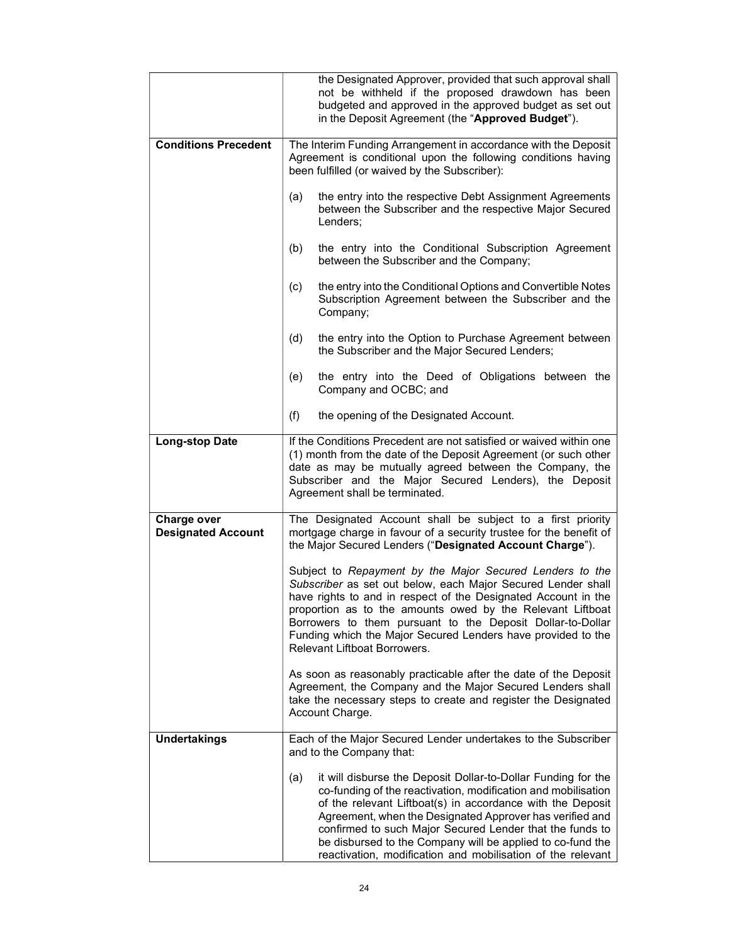|                                          | the Designated Approver, provided that such approval shall<br>not be withheld if the proposed drawdown has been<br>budgeted and approved in the approved budget as set out<br>in the Deposit Agreement (the "Approved Budget").                                                                                                                                                                                                                          |  |  |
|------------------------------------------|----------------------------------------------------------------------------------------------------------------------------------------------------------------------------------------------------------------------------------------------------------------------------------------------------------------------------------------------------------------------------------------------------------------------------------------------------------|--|--|
| <b>Conditions Precedent</b>              | The Interim Funding Arrangement in accordance with the Deposit<br>Agreement is conditional upon the following conditions having<br>been fulfilled (or waived by the Subscriber):                                                                                                                                                                                                                                                                         |  |  |
|                                          | the entry into the respective Debt Assignment Agreements<br>(a)<br>between the Subscriber and the respective Major Secured<br>Lenders:                                                                                                                                                                                                                                                                                                                   |  |  |
|                                          | (b)<br>the entry into the Conditional Subscription Agreement<br>between the Subscriber and the Company;                                                                                                                                                                                                                                                                                                                                                  |  |  |
|                                          | the entry into the Conditional Options and Convertible Notes<br>(c)<br>Subscription Agreement between the Subscriber and the<br>Company;                                                                                                                                                                                                                                                                                                                 |  |  |
|                                          | (d)<br>the entry into the Option to Purchase Agreement between<br>the Subscriber and the Major Secured Lenders;                                                                                                                                                                                                                                                                                                                                          |  |  |
|                                          | (e)<br>the entry into the Deed of Obligations between the<br>Company and OCBC; and                                                                                                                                                                                                                                                                                                                                                                       |  |  |
|                                          | (f)<br>the opening of the Designated Account.                                                                                                                                                                                                                                                                                                                                                                                                            |  |  |
| <b>Long-stop Date</b>                    | If the Conditions Precedent are not satisfied or waived within one<br>(1) month from the date of the Deposit Agreement (or such other<br>date as may be mutually agreed between the Company, the<br>Subscriber and the Major Secured Lenders), the Deposit<br>Agreement shall be terminated.                                                                                                                                                             |  |  |
| Charge over<br><b>Designated Account</b> | The Designated Account shall be subject to a first priority<br>mortgage charge in favour of a security trustee for the benefit of<br>the Major Secured Lenders ("Designated Account Charge").                                                                                                                                                                                                                                                            |  |  |
|                                          | Subject to Repayment by the Major Secured Lenders to the<br>Subscriber as set out below, each Major Secured Lender shall<br>have rights to and in respect of the Designated Account in the<br>proportion as to the amounts owed by the Relevant Liftboat<br>Borrowers to them pursuant to the Deposit Dollar-to-Dollar<br>Funding which the Major Secured Lenders have provided to the<br><b>Relevant Liftboat Borrowers.</b>                            |  |  |
|                                          | As soon as reasonably practicable after the date of the Deposit<br>Agreement, the Company and the Major Secured Lenders shall<br>take the necessary steps to create and register the Designated<br>Account Charge.                                                                                                                                                                                                                                       |  |  |
| <b>Undertakings</b>                      | Each of the Major Secured Lender undertakes to the Subscriber<br>and to the Company that:                                                                                                                                                                                                                                                                                                                                                                |  |  |
|                                          | it will disburse the Deposit Dollar-to-Dollar Funding for the<br>(a)<br>co-funding of the reactivation, modification and mobilisation<br>of the relevant Liftboat(s) in accordance with the Deposit<br>Agreement, when the Designated Approver has verified and<br>confirmed to such Major Secured Lender that the funds to<br>be disbursed to the Company will be applied to co-fund the<br>reactivation, modification and mobilisation of the relevant |  |  |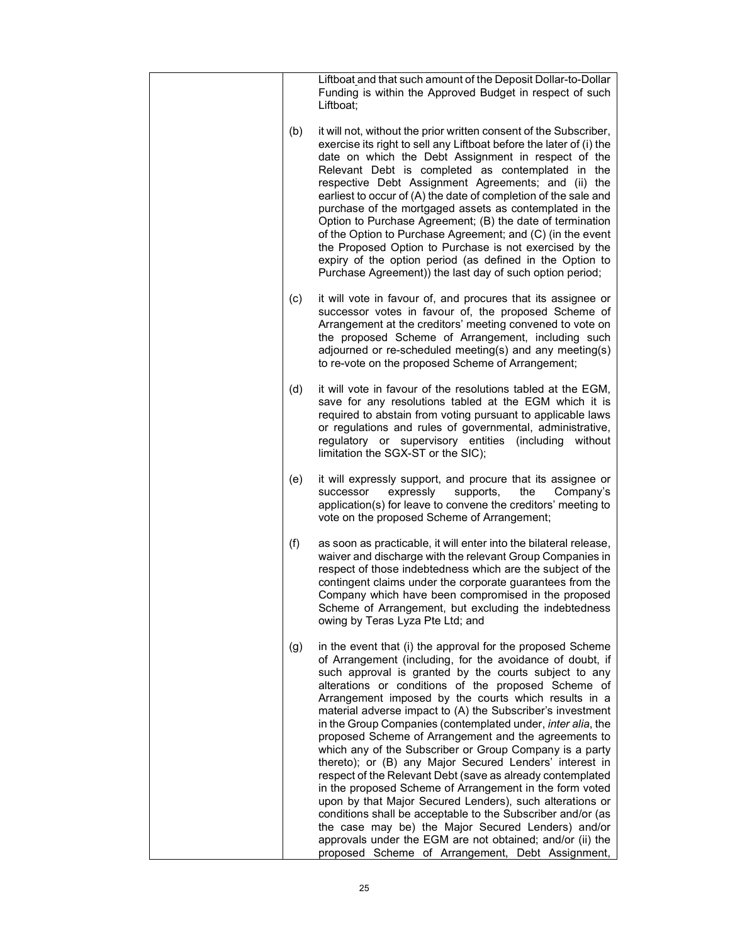|     | Liftboat and that such amount of the Deposit Dollar-to-Dollar<br>Funding is within the Approved Budget in respect of such<br>Liftboat;                                                                                                                                                                                                                                                                                                                                                                                                                                                                                                                                                                                                                                                                                                                                                                                                                                                                                                |
|-----|---------------------------------------------------------------------------------------------------------------------------------------------------------------------------------------------------------------------------------------------------------------------------------------------------------------------------------------------------------------------------------------------------------------------------------------------------------------------------------------------------------------------------------------------------------------------------------------------------------------------------------------------------------------------------------------------------------------------------------------------------------------------------------------------------------------------------------------------------------------------------------------------------------------------------------------------------------------------------------------------------------------------------------------|
| (b) | it will not, without the prior written consent of the Subscriber,<br>exercise its right to sell any Liftboat before the later of (i) the<br>date on which the Debt Assignment in respect of the<br>Relevant Debt is completed as contemplated in the<br>respective Debt Assignment Agreements; and (ii) the<br>earliest to occur of (A) the date of completion of the sale and<br>purchase of the mortgaged assets as contemplated in the<br>Option to Purchase Agreement; (B) the date of termination<br>of the Option to Purchase Agreement; and (C) (in the event<br>the Proposed Option to Purchase is not exercised by the<br>expiry of the option period (as defined in the Option to<br>Purchase Agreement)) the last day of such option period;                                                                                                                                                                                                                                                                               |
| (c) | it will vote in favour of, and procures that its assignee or<br>successor votes in favour of, the proposed Scheme of<br>Arrangement at the creditors' meeting convened to vote on<br>the proposed Scheme of Arrangement, including such<br>adjourned or re-scheduled meeting(s) and any meeting(s)<br>to re-vote on the proposed Scheme of Arrangement;                                                                                                                                                                                                                                                                                                                                                                                                                                                                                                                                                                                                                                                                               |
| (d) | it will vote in favour of the resolutions tabled at the EGM,<br>save for any resolutions tabled at the EGM which it is<br>required to abstain from voting pursuant to applicable laws<br>or regulations and rules of governmental, administrative,<br>regulatory or supervisory entities (including<br>without<br>limitation the SGX-ST or the SIC);                                                                                                                                                                                                                                                                                                                                                                                                                                                                                                                                                                                                                                                                                  |
| (e) | it will expressly support, and procure that its assignee or<br>supports,<br>the<br>successor<br>expressly<br>Company's<br>application(s) for leave to convene the creditors' meeting to<br>vote on the proposed Scheme of Arrangement;                                                                                                                                                                                                                                                                                                                                                                                                                                                                                                                                                                                                                                                                                                                                                                                                |
| (f) | as soon as practicable, it will enter into the bilateral release,<br>waiver and discharge with the relevant Group Companies in<br>respect of those indebtedness which are the subject of the<br>contingent claims under the corporate guarantees from the<br>Company which have been compromised in the proposed<br>Scheme of Arrangement, but excluding the indebtedness<br>owing by Teras Lyza Pte Ltd; and                                                                                                                                                                                                                                                                                                                                                                                                                                                                                                                                                                                                                         |
| (g) | in the event that (i) the approval for the proposed Scheme<br>of Arrangement (including, for the avoidance of doubt, if<br>such approval is granted by the courts subject to any<br>alterations or conditions of the proposed Scheme of<br>Arrangement imposed by the courts which results in a<br>material adverse impact to (A) the Subscriber's investment<br>in the Group Companies (contemplated under, inter alia, the<br>proposed Scheme of Arrangement and the agreements to<br>which any of the Subscriber or Group Company is a party<br>thereto); or (B) any Major Secured Lenders' interest in<br>respect of the Relevant Debt (save as already contemplated<br>in the proposed Scheme of Arrangement in the form voted<br>upon by that Major Secured Lenders), such alterations or<br>conditions shall be acceptable to the Subscriber and/or (as<br>the case may be) the Major Secured Lenders) and/or<br>approvals under the EGM are not obtained; and/or (ii) the<br>proposed Scheme of Arrangement, Debt Assignment, |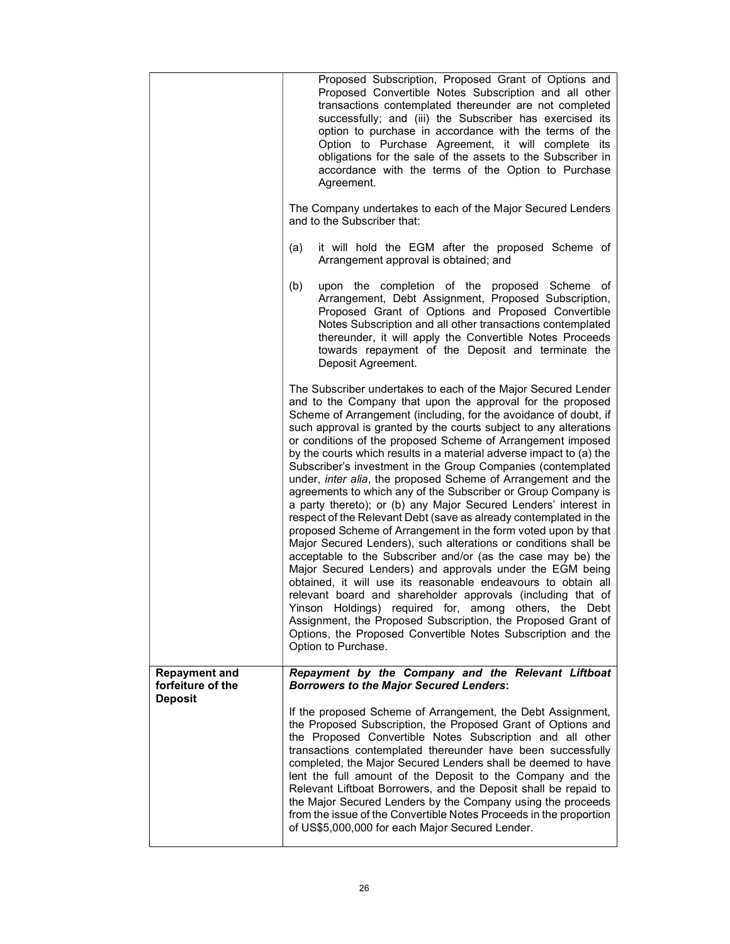|                                                             | Proposed Subscription, Proposed Grant of Options and<br>Proposed Convertible Notes Subscription and all other<br>transactions contemplated thereunder are not completed<br>successfully; and (iii) the Subscriber has exercised its<br>option to purchase in accordance with the terms of the<br>Option to Purchase Agreement, it will complete its<br>obligations for the sale of the assets to the Subscriber in<br>accordance with the terms of the Option to Purchase<br>Agreement.<br>The Company undertakes to each of the Major Secured Lenders<br>and to the Subscriber that:<br>it will hold the EGM after the proposed Scheme of<br>(a)<br>Arrangement approval is obtained; and<br>upon the completion of the proposed Scheme of<br>(b)<br>Arrangement, Debt Assignment, Proposed Subscription,<br>Proposed Grant of Options and Proposed Convertible<br>Notes Subscription and all other transactions contemplated<br>thereunder, it will apply the Convertible Notes Proceeds<br>towards repayment of the Deposit and terminate the<br>Deposit Agreement.                                                                                                                                                                                                                                                                                               |
|-------------------------------------------------------------|----------------------------------------------------------------------------------------------------------------------------------------------------------------------------------------------------------------------------------------------------------------------------------------------------------------------------------------------------------------------------------------------------------------------------------------------------------------------------------------------------------------------------------------------------------------------------------------------------------------------------------------------------------------------------------------------------------------------------------------------------------------------------------------------------------------------------------------------------------------------------------------------------------------------------------------------------------------------------------------------------------------------------------------------------------------------------------------------------------------------------------------------------------------------------------------------------------------------------------------------------------------------------------------------------------------------------------------------------------------------|
|                                                             | The Subscriber undertakes to each of the Major Secured Lender<br>and to the Company that upon the approval for the proposed<br>Scheme of Arrangement (including, for the avoidance of doubt, if<br>such approval is granted by the courts subject to any alterations<br>or conditions of the proposed Scheme of Arrangement imposed<br>by the courts which results in a material adverse impact to (a) the<br>Subscriber's investment in the Group Companies (contemplated<br>under, inter alia, the proposed Scheme of Arrangement and the<br>agreements to which any of the Subscriber or Group Company is<br>a party thereto); or (b) any Major Secured Lenders' interest in<br>respect of the Relevant Debt (save as already contemplated in the<br>proposed Scheme of Arrangement in the form voted upon by that<br>Major Secured Lenders), such alterations or conditions shall be<br>acceptable to the Subscriber and/or (as the case may be) the<br>Major Secured Lenders) and approvals under the EGM being<br>obtained, it will use its reasonable endeavours to obtain all<br>relevant board and shareholder approvals (including that of<br>Yinson Holdings) required for, among others, the Debt<br>Assignment, the Proposed Subscription, the Proposed Grant of<br>Options, the Proposed Convertible Notes Subscription and the<br>Option to Purchase. |
| <b>Repayment and</b><br>forfeiture of the<br><b>Deposit</b> | Repayment by the Company and the Relevant Liftboat<br><b>Borrowers to the Major Secured Lenders:</b><br>If the proposed Scheme of Arrangement, the Debt Assignment,<br>the Proposed Subscription, the Proposed Grant of Options and<br>the Proposed Convertible Notes Subscription and all other<br>transactions contemplated thereunder have been successfully<br>completed, the Major Secured Lenders shall be deemed to have<br>lent the full amount of the Deposit to the Company and the<br>Relevant Liftboat Borrowers, and the Deposit shall be repaid to<br>the Major Secured Lenders by the Company using the proceeds<br>from the issue of the Convertible Notes Proceeds in the proportion<br>of US\$5,000,000 for each Major Secured Lender.                                                                                                                                                                                                                                                                                                                                                                                                                                                                                                                                                                                                             |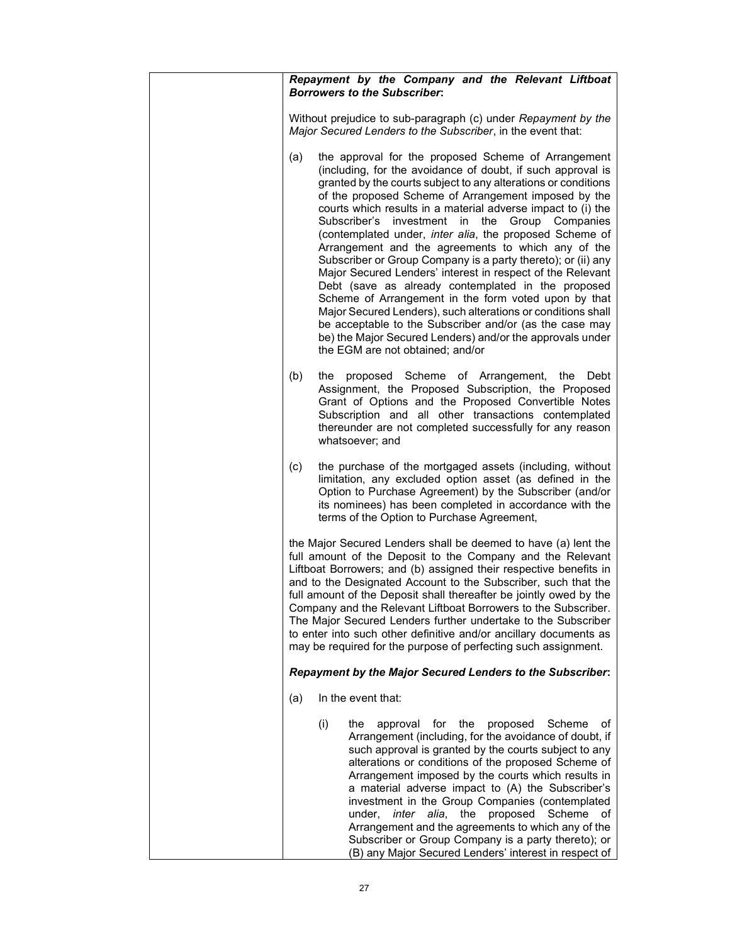| Repayment by the Company and the Relevant Liftboat<br><b>Borrowers to the Subscriber:</b>                                                                                                                                                                                                                                                                                                                                                                                                                                                                                                                                                                                                                                                                                                                                                                                                                                                                               |
|-------------------------------------------------------------------------------------------------------------------------------------------------------------------------------------------------------------------------------------------------------------------------------------------------------------------------------------------------------------------------------------------------------------------------------------------------------------------------------------------------------------------------------------------------------------------------------------------------------------------------------------------------------------------------------------------------------------------------------------------------------------------------------------------------------------------------------------------------------------------------------------------------------------------------------------------------------------------------|
| Without prejudice to sub-paragraph (c) under Repayment by the<br>Major Secured Lenders to the Subscriber, in the event that:                                                                                                                                                                                                                                                                                                                                                                                                                                                                                                                                                                                                                                                                                                                                                                                                                                            |
| the approval for the proposed Scheme of Arrangement<br>(a)<br>(including, for the avoidance of doubt, if such approval is<br>granted by the courts subject to any alterations or conditions<br>of the proposed Scheme of Arrangement imposed by the<br>courts which results in a material adverse impact to (i) the<br>Subscriber's<br>investment<br>in the<br>Group Companies<br>(contemplated under, inter alia, the proposed Scheme of<br>Arrangement and the agreements to which any of the<br>Subscriber or Group Company is a party thereto); or (ii) any<br>Major Secured Lenders' interest in respect of the Relevant<br>Debt (save as already contemplated in the proposed<br>Scheme of Arrangement in the form voted upon by that<br>Major Secured Lenders), such alterations or conditions shall<br>be acceptable to the Subscriber and/or (as the case may<br>be) the Major Secured Lenders) and/or the approvals under<br>the EGM are not obtained; and/or |
| (b)<br>proposed Scheme of Arrangement, the<br>the<br>Debt<br>Assignment, the Proposed Subscription, the Proposed<br>Grant of Options and the Proposed Convertible Notes<br>Subscription and all other transactions contemplated<br>thereunder are not completed successfully for any reason<br>whatsoever; and                                                                                                                                                                                                                                                                                                                                                                                                                                                                                                                                                                                                                                                          |
| (c)<br>the purchase of the mortgaged assets (including, without<br>limitation, any excluded option asset (as defined in the<br>Option to Purchase Agreement) by the Subscriber (and/or<br>its nominees) has been completed in accordance with the<br>terms of the Option to Purchase Agreement,                                                                                                                                                                                                                                                                                                                                                                                                                                                                                                                                                                                                                                                                         |
| the Major Secured Lenders shall be deemed to have (a) lent the<br>full amount of the Deposit to the Company and the Relevant<br>Liftboat Borrowers; and (b) assigned their respective benefits in<br>and to the Designated Account to the Subscriber, such that the<br>full amount of the Deposit shall thereafter be jointly owed by the<br>Company and the Relevant Liftboat Borrowers to the Subscriber.<br>The Major Secured Lenders further undertake to the Subscriber<br>to enter into such other definitive and/or ancillary documents as<br>may be required for the purpose of perfecting such assignment.                                                                                                                                                                                                                                                                                                                                                     |
| Repayment by the Major Secured Lenders to the Subscriber:                                                                                                                                                                                                                                                                                                                                                                                                                                                                                                                                                                                                                                                                                                                                                                                                                                                                                                               |
| In the event that:<br>(a)                                                                                                                                                                                                                                                                                                                                                                                                                                                                                                                                                                                                                                                                                                                                                                                                                                                                                                                                               |
| (i)<br>proposed<br>the<br>approval for the<br>Scheme<br>οf<br>Arrangement (including, for the avoidance of doubt, if<br>such approval is granted by the courts subject to any<br>alterations or conditions of the proposed Scheme of<br>Arrangement imposed by the courts which results in<br>a material adverse impact to (A) the Subscriber's<br>investment in the Group Companies (contemplated<br>inter alia, the proposed Scheme<br>under,<br>of<br>Arrangement and the agreements to which any of the<br>Subscriber or Group Company is a party thereto); or<br>(B) any Major Secured Lenders' interest in respect of                                                                                                                                                                                                                                                                                                                                             |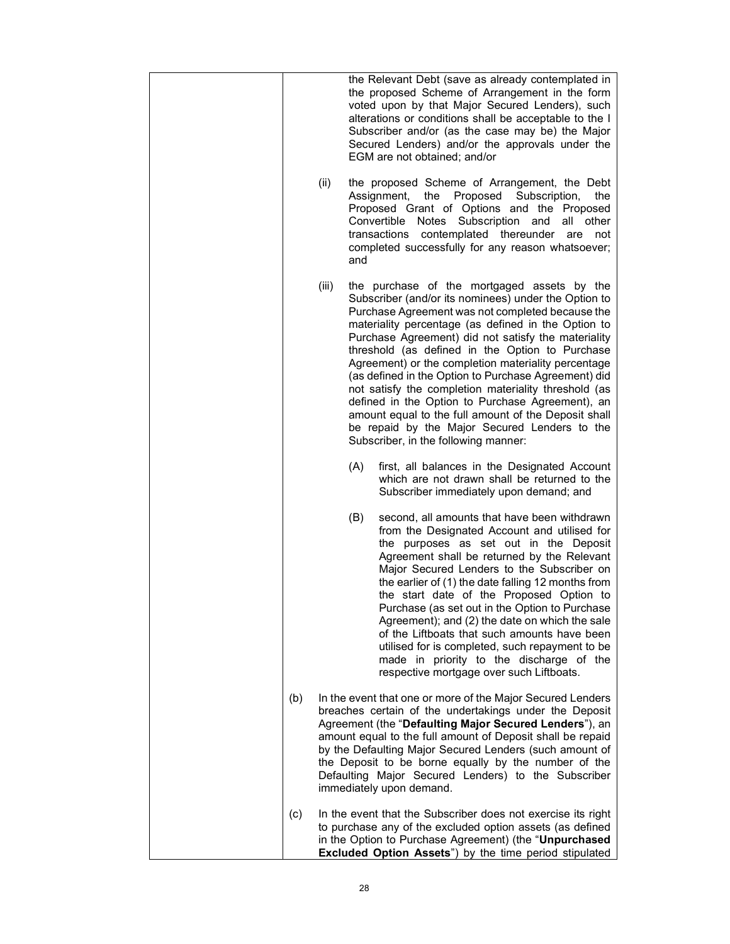|     |       |     | the Relevant Debt (save as already contemplated in<br>the proposed Scheme of Arrangement in the form<br>voted upon by that Major Secured Lenders), such<br>alterations or conditions shall be acceptable to the I<br>Subscriber and/or (as the case may be) the Major<br>Secured Lenders) and/or the approvals under the<br>EGM are not obtained; and/or                                                                                                                                                                                                                                                                                                                                             |
|-----|-------|-----|------------------------------------------------------------------------------------------------------------------------------------------------------------------------------------------------------------------------------------------------------------------------------------------------------------------------------------------------------------------------------------------------------------------------------------------------------------------------------------------------------------------------------------------------------------------------------------------------------------------------------------------------------------------------------------------------------|
|     | (ii)  | and | the proposed Scheme of Arrangement, the Debt<br>Assignment,<br>the<br>Proposed<br>Subscription,<br>the<br>Proposed Grant of Options and the Proposed<br>Notes Subscription and<br>Convertible<br>all other<br>transactions<br>contemplated thereunder<br>are<br>not<br>completed successfully for any reason whatsoever;                                                                                                                                                                                                                                                                                                                                                                             |
|     | (iii) |     | the purchase of the mortgaged assets by the<br>Subscriber (and/or its nominees) under the Option to<br>Purchase Agreement was not completed because the<br>materiality percentage (as defined in the Option to<br>Purchase Agreement) did not satisfy the materiality<br>threshold (as defined in the Option to Purchase<br>Agreement) or the completion materiality percentage<br>(as defined in the Option to Purchase Agreement) did<br>not satisfy the completion materiality threshold (as<br>defined in the Option to Purchase Agreement), an<br>amount equal to the full amount of the Deposit shall<br>be repaid by the Major Secured Lenders to the<br>Subscriber, in the following manner: |
|     |       | (A) | first, all balances in the Designated Account<br>which are not drawn shall be returned to the<br>Subscriber immediately upon demand; and                                                                                                                                                                                                                                                                                                                                                                                                                                                                                                                                                             |
|     |       | (B) | second, all amounts that have been withdrawn<br>from the Designated Account and utilised for<br>the purposes as set out in the Deposit<br>Agreement shall be returned by the Relevant<br>Major Secured Lenders to the Subscriber on<br>the earlier of (1) the date falling 12 months from<br>the start date of the Proposed Option to<br>Purchase (as set out in the Option to Purchase<br>Agreement); and (2) the date on which the sale<br>of the Liftboats that such amounts have been<br>utilised for is completed, such repayment to be<br>made in priority to the discharge of the<br>respective mortgage over such Liftboats.                                                                 |
| (b) |       |     | In the event that one or more of the Major Secured Lenders<br>breaches certain of the undertakings under the Deposit<br>Agreement (the "Defaulting Major Secured Lenders"), an<br>amount equal to the full amount of Deposit shall be repaid<br>by the Defaulting Major Secured Lenders (such amount of<br>the Deposit to be borne equally by the number of the<br>Defaulting Major Secured Lenders) to the Subscriber<br>immediately upon demand.                                                                                                                                                                                                                                                   |
| (c) |       |     | In the event that the Subscriber does not exercise its right<br>to purchase any of the excluded option assets (as defined<br>in the Option to Purchase Agreement) (the "Unpurchased<br><b>Excluded Option Assets")</b> by the time period stipulated                                                                                                                                                                                                                                                                                                                                                                                                                                                 |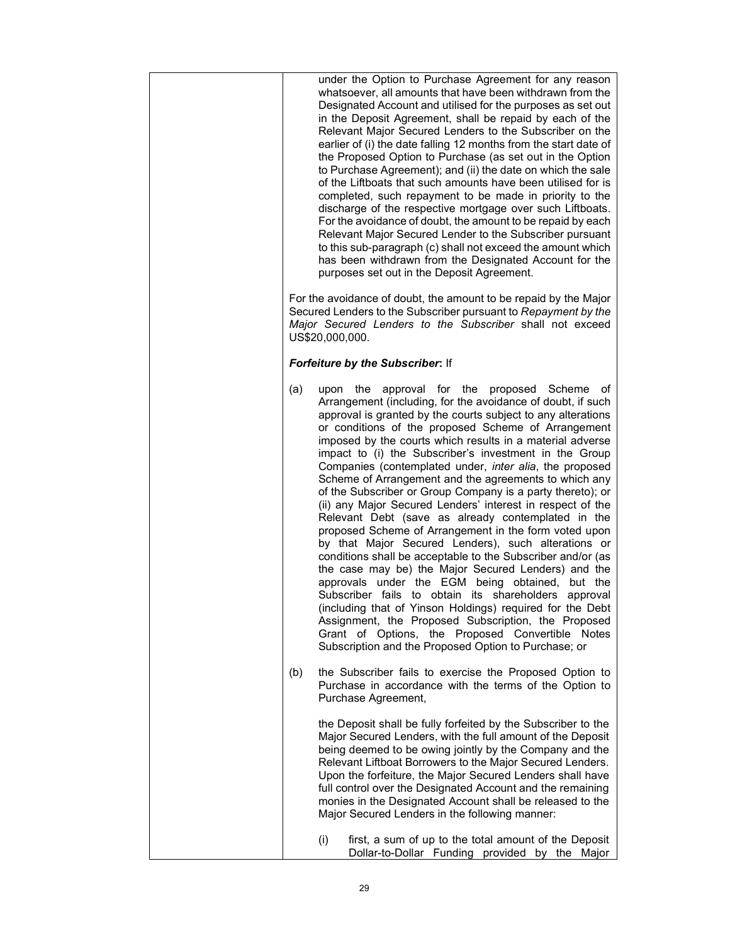| under the Option to Purchase Agreement for any reason<br>whatsoever, all amounts that have been withdrawn from the<br>Designated Account and utilised for the purposes as set out<br>in the Deposit Agreement, shall be repaid by each of the<br>Relevant Major Secured Lenders to the Subscriber on the<br>earlier of (i) the date falling 12 months from the start date of<br>the Proposed Option to Purchase (as set out in the Option<br>to Purchase Agreement); and (ii) the date on which the sale<br>of the Liftboats that such amounts have been utilised for is<br>completed, such repayment to be made in priority to the<br>discharge of the respective mortgage over such Liftboats.<br>For the avoidance of doubt, the amount to be repaid by each<br>Relevant Major Secured Lender to the Subscriber pursuant<br>to this sub-paragraph (c) shall not exceed the amount which<br>has been withdrawn from the Designated Account for the<br>purposes set out in the Deposit Agreement.<br>For the avoidance of doubt, the amount to be repaid by the Major                                                                                                                                                                                                      |  |  |  |  |
|-----------------------------------------------------------------------------------------------------------------------------------------------------------------------------------------------------------------------------------------------------------------------------------------------------------------------------------------------------------------------------------------------------------------------------------------------------------------------------------------------------------------------------------------------------------------------------------------------------------------------------------------------------------------------------------------------------------------------------------------------------------------------------------------------------------------------------------------------------------------------------------------------------------------------------------------------------------------------------------------------------------------------------------------------------------------------------------------------------------------------------------------------------------------------------------------------------------------------------------------------------------------------------|--|--|--|--|
| Secured Lenders to the Subscriber pursuant to Repayment by the<br>Major Secured Lenders to the Subscriber shall not exceed<br>US\$20,000,000.                                                                                                                                                                                                                                                                                                                                                                                                                                                                                                                                                                                                                                                                                                                                                                                                                                                                                                                                                                                                                                                                                                                               |  |  |  |  |
| Forfeiture by the Subscriber: If                                                                                                                                                                                                                                                                                                                                                                                                                                                                                                                                                                                                                                                                                                                                                                                                                                                                                                                                                                                                                                                                                                                                                                                                                                            |  |  |  |  |
| (a)<br>the<br>approval for the<br>proposed Scheme<br>upon<br>ot<br>Arrangement (including, for the avoidance of doubt, if such<br>approval is granted by the courts subject to any alterations<br>or conditions of the proposed Scheme of Arrangement<br>imposed by the courts which results in a material adverse<br>impact to (i) the Subscriber's investment in the Group<br>Companies (contemplated under, <i>inter alia</i> , the proposed<br>Scheme of Arrangement and the agreements to which any<br>of the Subscriber or Group Company is a party thereto); or<br>(ii) any Major Secured Lenders' interest in respect of the<br>Relevant Debt (save as already contemplated in the<br>proposed Scheme of Arrangement in the form voted upon<br>by that Major Secured Lenders), such alterations or<br>conditions shall be acceptable to the Subscriber and/or (as<br>the case may be) the Major Secured Lenders) and the<br>approvals under the EGM being obtained, but the<br>Subscriber fails to obtain its shareholders approval<br>(including that of Yinson Holdings) required for the Debt<br>Assignment, the Proposed Subscription, the Proposed<br>Grant of Options, the Proposed Convertible Notes<br>Subscription and the Proposed Option to Purchase; or |  |  |  |  |
| the Subscriber fails to exercise the Proposed Option to<br>(b)<br>Purchase in accordance with the terms of the Option to<br>Purchase Agreement,                                                                                                                                                                                                                                                                                                                                                                                                                                                                                                                                                                                                                                                                                                                                                                                                                                                                                                                                                                                                                                                                                                                             |  |  |  |  |
| the Deposit shall be fully forfeited by the Subscriber to the<br>Major Secured Lenders, with the full amount of the Deposit<br>being deemed to be owing jointly by the Company and the<br>Relevant Liftboat Borrowers to the Major Secured Lenders.<br>Upon the forfeiture, the Major Secured Lenders shall have<br>full control over the Designated Account and the remaining<br>monies in the Designated Account shall be released to the<br>Major Secured Lenders in the following manner:                                                                                                                                                                                                                                                                                                                                                                                                                                                                                                                                                                                                                                                                                                                                                                               |  |  |  |  |
| (i)<br>first, a sum of up to the total amount of the Deposit<br>Dollar-to-Dollar Funding provided by the Major                                                                                                                                                                                                                                                                                                                                                                                                                                                                                                                                                                                                                                                                                                                                                                                                                                                                                                                                                                                                                                                                                                                                                              |  |  |  |  |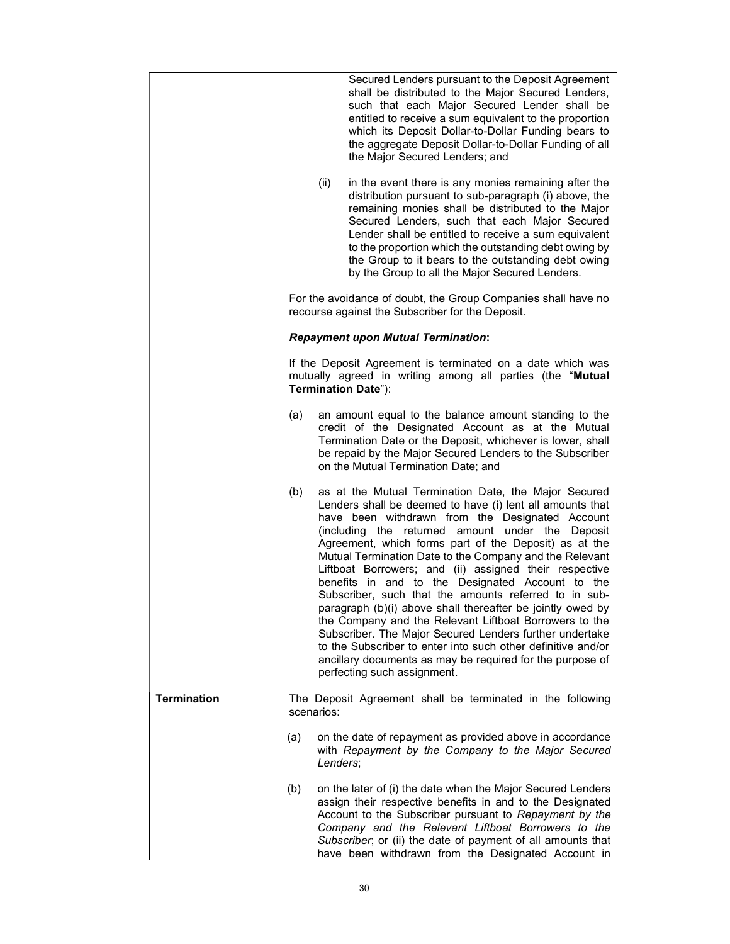|                    | Secured Lenders pursuant to the Deposit Agreement<br>shall be distributed to the Major Secured Lenders,<br>such that each Major Secured Lender shall be<br>entitled to receive a sum equivalent to the proportion<br>which its Deposit Dollar-to-Dollar Funding bears to<br>the aggregate Deposit Dollar-to-Dollar Funding of all<br>the Major Secured Lenders; and<br>(ii)<br>in the event there is any monies remaining after the<br>distribution pursuant to sub-paragraph (i) above, the<br>remaining monies shall be distributed to the Major<br>Secured Lenders, such that each Major Secured<br>Lender shall be entitled to receive a sum equivalent<br>to the proportion which the outstanding debt owing by<br>the Group to it bears to the outstanding debt owing                                                                                               |  |  |  |
|--------------------|---------------------------------------------------------------------------------------------------------------------------------------------------------------------------------------------------------------------------------------------------------------------------------------------------------------------------------------------------------------------------------------------------------------------------------------------------------------------------------------------------------------------------------------------------------------------------------------------------------------------------------------------------------------------------------------------------------------------------------------------------------------------------------------------------------------------------------------------------------------------------|--|--|--|
|                    | by the Group to all the Major Secured Lenders.<br>For the avoidance of doubt, the Group Companies shall have no<br>recourse against the Subscriber for the Deposit.                                                                                                                                                                                                                                                                                                                                                                                                                                                                                                                                                                                                                                                                                                       |  |  |  |
|                    | <b>Repayment upon Mutual Termination:</b>                                                                                                                                                                                                                                                                                                                                                                                                                                                                                                                                                                                                                                                                                                                                                                                                                                 |  |  |  |
|                    | If the Deposit Agreement is terminated on a date which was<br>mutually agreed in writing among all parties (the "Mutual<br>Termination Date"):                                                                                                                                                                                                                                                                                                                                                                                                                                                                                                                                                                                                                                                                                                                            |  |  |  |
|                    | (a)<br>an amount equal to the balance amount standing to the<br>credit of the Designated Account as at the Mutual<br>Termination Date or the Deposit, whichever is lower, shall<br>be repaid by the Major Secured Lenders to the Subscriber<br>on the Mutual Termination Date; and                                                                                                                                                                                                                                                                                                                                                                                                                                                                                                                                                                                        |  |  |  |
|                    | (b)<br>as at the Mutual Termination Date, the Major Secured<br>Lenders shall be deemed to have (i) lent all amounts that<br>have been withdrawn from the Designated Account<br>(including the returned amount under the Deposit<br>Agreement, which forms part of the Deposit) as at the<br>Mutual Termination Date to the Company and the Relevant<br>Liftboat Borrowers; and (ii) assigned their respective<br>benefits in and to the Designated Account to the<br>Subscriber, such that the amounts referred to in sub-<br>paragraph (b)(i) above shall thereafter be jointly owed by<br>the Company and the Relevant Liftboat Borrowers to the<br>Subscriber. The Major Secured Lenders further undertake<br>to the Subscriber to enter into such other definitive and/or<br>ancillary documents as may be required for the purpose of<br>perfecting such assignment. |  |  |  |
| <b>Termination</b> | The Deposit Agreement shall be terminated in the following<br>scenarios:                                                                                                                                                                                                                                                                                                                                                                                                                                                                                                                                                                                                                                                                                                                                                                                                  |  |  |  |
|                    | on the date of repayment as provided above in accordance<br>(a)<br>with Repayment by the Company to the Major Secured<br>Lenders:                                                                                                                                                                                                                                                                                                                                                                                                                                                                                                                                                                                                                                                                                                                                         |  |  |  |
|                    | on the later of (i) the date when the Major Secured Lenders<br>(b)<br>assign their respective benefits in and to the Designated<br>Account to the Subscriber pursuant to Repayment by the<br>Company and the Relevant Liftboat Borrowers to the<br>Subscriber; or (ii) the date of payment of all amounts that<br>have been withdrawn from the Designated Account in                                                                                                                                                                                                                                                                                                                                                                                                                                                                                                      |  |  |  |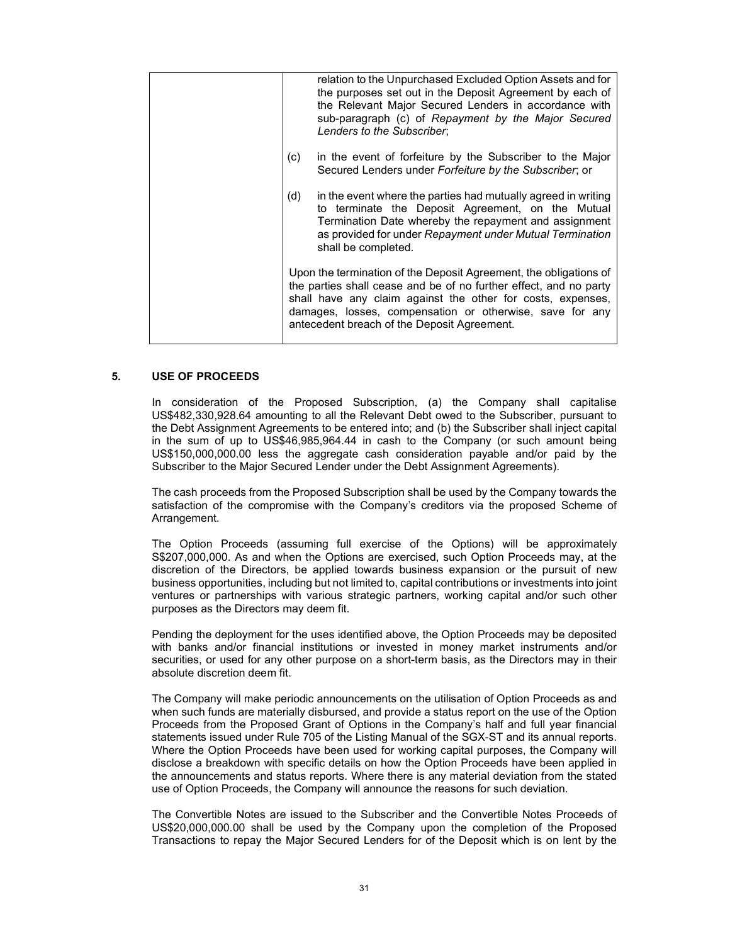| relation to the Unpurchased Excluded Option Assets and for<br>the purposes set out in the Deposit Agreement by each of<br>the Relevant Major Secured Lenders in accordance with<br>sub-paragraph (c) of Repayment by the Major Secured<br>Lenders to the Subscriber;                                             |
|------------------------------------------------------------------------------------------------------------------------------------------------------------------------------------------------------------------------------------------------------------------------------------------------------------------|
| in the event of forfeiture by the Subscriber to the Major<br>(c)<br>Secured Lenders under Forfeiture by the Subscriber, or                                                                                                                                                                                       |
| (d)<br>in the event where the parties had mutually agreed in writing<br>to terminate the Deposit Agreement, on the Mutual<br>Termination Date whereby the repayment and assignment<br>as provided for under Repayment under Mutual Termination<br>shall be completed.                                            |
| Upon the termination of the Deposit Agreement, the obligations of<br>the parties shall cease and be of no further effect, and no party<br>shall have any claim against the other for costs, expenses,<br>damages, losses, compensation or otherwise, save for any<br>antecedent breach of the Deposit Agreement. |

### 5. USE OF PROCEEDS

In consideration of the Proposed Subscription, (a) the Company shall capitalise US\$482,330,928.64 amounting to all the Relevant Debt owed to the Subscriber, pursuant to the Debt Assignment Agreements to be entered into; and (b) the Subscriber shall inject capital in the sum of up to US\$46,985,964.44 in cash to the Company (or such amount being US\$150,000,000.00 less the aggregate cash consideration payable and/or paid by the Subscriber to the Major Secured Lender under the Debt Assignment Agreements).

The cash proceeds from the Proposed Subscription shall be used by the Company towards the satisfaction of the compromise with the Company's creditors via the proposed Scheme of Arrangement.

The Option Proceeds (assuming full exercise of the Options) will be approximately S\$207,000,000. As and when the Options are exercised, such Option Proceeds may, at the discretion of the Directors, be applied towards business expansion or the pursuit of new business opportunities, including but not limited to, capital contributions or investments into joint ventures or partnerships with various strategic partners, working capital and/or such other purposes as the Directors may deem fit.

Pending the deployment for the uses identified above, the Option Proceeds may be deposited with banks and/or financial institutions or invested in money market instruments and/or securities, or used for any other purpose on a short-term basis, as the Directors may in their absolute discretion deem fit.

The Company will make periodic announcements on the utilisation of Option Proceeds as and when such funds are materially disbursed, and provide a status report on the use of the Option Proceeds from the Proposed Grant of Options in the Company's half and full year financial statements issued under Rule 705 of the Listing Manual of the SGX-ST and its annual reports. Where the Option Proceeds have been used for working capital purposes, the Company will disclose a breakdown with specific details on how the Option Proceeds have been applied in the announcements and status reports. Where there is any material deviation from the stated use of Option Proceeds, the Company will announce the reasons for such deviation.

The Convertible Notes are issued to the Subscriber and the Convertible Notes Proceeds of US\$20,000,000.00 shall be used by the Company upon the completion of the Proposed Transactions to repay the Major Secured Lenders for of the Deposit which is on lent by the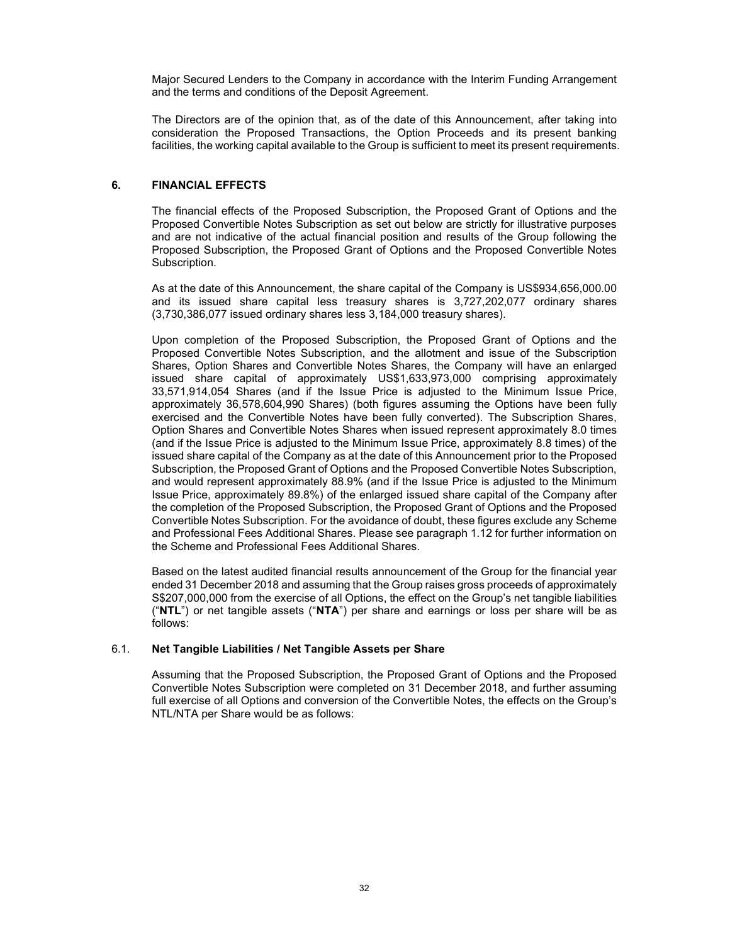Major Secured Lenders to the Company in accordance with the Interim Funding Arrangement and the terms and conditions of the Deposit Agreement.

The Directors are of the opinion that, as of the date of this Announcement, after taking into consideration the Proposed Transactions, the Option Proceeds and its present banking facilities, the working capital available to the Group is sufficient to meet its present requirements.

### 6. FINANCIAL EFFECTS

The financial effects of the Proposed Subscription, the Proposed Grant of Options and the Proposed Convertible Notes Subscription as set out below are strictly for illustrative purposes and are not indicative of the actual financial position and results of the Group following the Proposed Subscription, the Proposed Grant of Options and the Proposed Convertible Notes Subscription.

As at the date of this Announcement, the share capital of the Company is US\$934,656,000.00 and its issued share capital less treasury shares is 3,727,202,077 ordinary shares (3,730,386,077 issued ordinary shares less 3,184,000 treasury shares).

Upon completion of the Proposed Subscription, the Proposed Grant of Options and the Proposed Convertible Notes Subscription, and the allotment and issue of the Subscription Shares, Option Shares and Convertible Notes Shares, the Company will have an enlarged issued share capital of approximately US\$1,633,973,000 comprising approximately 33,571,914,054 Shares (and if the Issue Price is adjusted to the Minimum Issue Price, approximately 36,578,604,990 Shares) (both figures assuming the Options have been fully exercised and the Convertible Notes have been fully converted). The Subscription Shares, Option Shares and Convertible Notes Shares when issued represent approximately 8.0 times (and if the Issue Price is adjusted to the Minimum Issue Price, approximately 8.8 times) of the issued share capital of the Company as at the date of this Announcement prior to the Proposed Subscription, the Proposed Grant of Options and the Proposed Convertible Notes Subscription, and would represent approximately 88.9% (and if the Issue Price is adjusted to the Minimum Issue Price, approximately 89.8%) of the enlarged issued share capital of the Company after the completion of the Proposed Subscription, the Proposed Grant of Options and the Proposed Convertible Notes Subscription. For the avoidance of doubt, these figures exclude any Scheme and Professional Fees Additional Shares. Please see paragraph 1.12 for further information on the Scheme and Professional Fees Additional Shares.

Based on the latest audited financial results announcement of the Group for the financial year ended 31 December 2018 and assuming that the Group raises gross proceeds of approximately S\$207,000,000 from the exercise of all Options, the effect on the Group's net tangible liabilities ("NTL") or net tangible assets ("NTA") per share and earnings or loss per share will be as follows:

### 6.1. Net Tangible Liabilities / Net Tangible Assets per Share

Assuming that the Proposed Subscription, the Proposed Grant of Options and the Proposed Convertible Notes Subscription were completed on 31 December 2018, and further assuming full exercise of all Options and conversion of the Convertible Notes, the effects on the Group's NTL/NTA per Share would be as follows: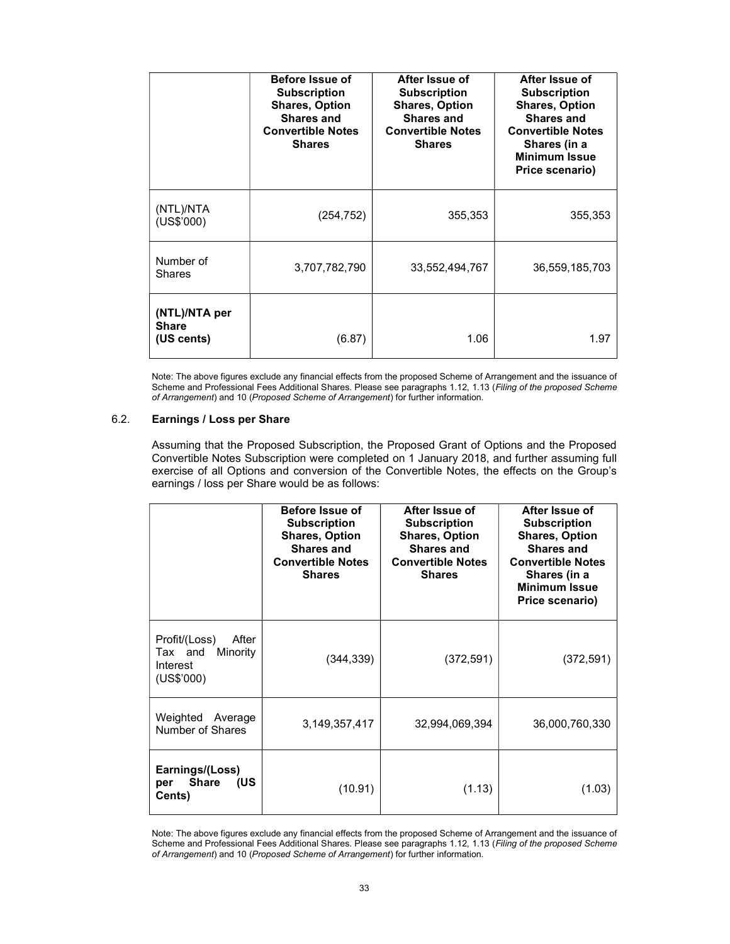|                                             | Before Issue of<br><b>Subscription</b><br><b>Shares, Option</b><br><b>Shares and</b><br><b>Convertible Notes</b><br><b>Shares</b> | After Issue of<br><b>Subscription</b><br><b>Shares, Option</b><br><b>Shares and</b><br><b>Convertible Notes</b><br><b>Shares</b> | After Issue of<br><b>Subscription</b><br><b>Shares, Option</b><br><b>Shares and</b><br><b>Convertible Notes</b><br>Shares (in a<br><b>Minimum Issue</b><br>Price scenario) |
|---------------------------------------------|-----------------------------------------------------------------------------------------------------------------------------------|----------------------------------------------------------------------------------------------------------------------------------|----------------------------------------------------------------------------------------------------------------------------------------------------------------------------|
| (NTL)/NTA<br>(US\$'000)                     | (254, 752)                                                                                                                        | 355,353                                                                                                                          | 355,353                                                                                                                                                                    |
| Number of<br><b>Shares</b>                  | 3,707,782,790                                                                                                                     | 33,552,494,767                                                                                                                   | 36,559,185,703                                                                                                                                                             |
| (NTL)/NTA per<br><b>Share</b><br>(US cents) | (6.87)                                                                                                                            | 1.06                                                                                                                             | 1.97                                                                                                                                                                       |

Note: The above figures exclude any financial effects from the proposed Scheme of Arrangement and the issuance of Scheme and Professional Fees Additional Shares. Please see paragraphs 1.12, 1.13 (Filing of the proposed Scheme of Arrangement) and 10 (Proposed Scheme of Arrangement) for further information.

## 6.2. Earnings / Loss per Share

Assuming that the Proposed Subscription, the Proposed Grant of Options and the Proposed Convertible Notes Subscription were completed on 1 January 2018, and further assuming full exercise of all Options and conversion of the Convertible Notes, the effects on the Group's earnings / loss per Share would be as follows:

|                                                                         | Before Issue of<br><b>Subscription</b><br><b>Shares, Option</b><br><b>Shares and</b><br><b>Convertible Notes</b><br><b>Shares</b> | After Issue of<br><b>Subscription</b><br><b>Shares, Option</b><br><b>Shares and</b><br><b>Convertible Notes</b><br><b>Shares</b> | After Issue of<br><b>Subscription</b><br><b>Shares, Option</b><br><b>Shares and</b><br><b>Convertible Notes</b><br>Shares (in a<br><b>Minimum Issue</b><br>Price scenario) |
|-------------------------------------------------------------------------|-----------------------------------------------------------------------------------------------------------------------------------|----------------------------------------------------------------------------------------------------------------------------------|----------------------------------------------------------------------------------------------------------------------------------------------------------------------------|
| Profit/(Loss)<br>After<br>Tax and<br>Minority<br>Interest<br>(US\$'000) | (344, 339)                                                                                                                        | (372, 591)                                                                                                                       | (372, 591)                                                                                                                                                                 |
| Weighted Average<br>Number of Shares                                    | 3, 149, 357, 417                                                                                                                  | 32,994,069,394                                                                                                                   | 36,000,760,330                                                                                                                                                             |
| Earnings/(Loss)<br>Share (US<br>per<br>Cents)                           | (10.91)                                                                                                                           | (1.13)                                                                                                                           | (1.03)                                                                                                                                                                     |

Note: The above figures exclude any financial effects from the proposed Scheme of Arrangement and the issuance of Scheme and Professional Fees Additional Shares. Please see paragraphs 1.12, 1.13 (Filing of the proposed Scheme of Arrangement) and 10 (Proposed Scheme of Arrangement) for further information.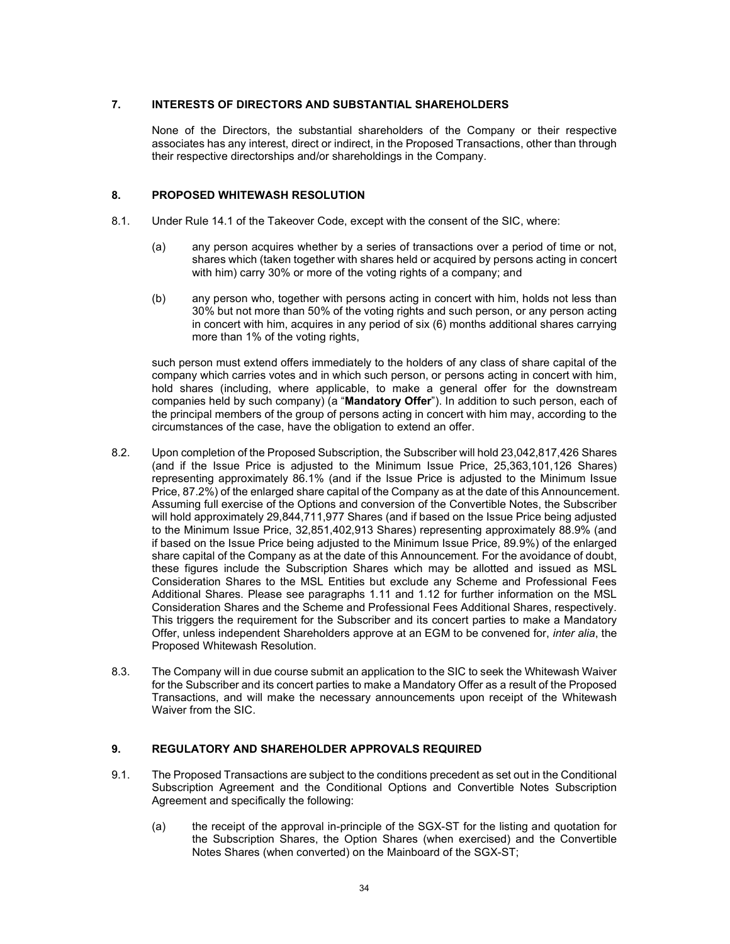## 7. INTERESTS OF DIRECTORS AND SUBSTANTIAL SHAREHOLDERS

None of the Directors, the substantial shareholders of the Company or their respective associates has any interest, direct or indirect, in the Proposed Transactions, other than through their respective directorships and/or shareholdings in the Company.

### 8. PROPOSED WHITEWASH RESOLUTION

- 8.1. Under Rule 14.1 of the Takeover Code, except with the consent of the SIC, where:
	- (a) any person acquires whether by a series of transactions over a period of time or not, shares which (taken together with shares held or acquired by persons acting in concert with him) carry 30% or more of the voting rights of a company; and
	- (b) any person who, together with persons acting in concert with him, holds not less than 30% but not more than 50% of the voting rights and such person, or any person acting in concert with him, acquires in any period of six (6) months additional shares carrying more than 1% of the voting rights.

such person must extend offers immediately to the holders of any class of share capital of the company which carries votes and in which such person, or persons acting in concert with him, hold shares (including, where applicable, to make a general offer for the downstream companies held by such company) (a "Mandatory Offer"). In addition to such person, each of the principal members of the group of persons acting in concert with him may, according to the circumstances of the case, have the obligation to extend an offer.

- 8.2. Upon completion of the Proposed Subscription, the Subscriber will hold 23,042,817,426 Shares (and if the Issue Price is adjusted to the Minimum Issue Price, 25,363,101,126 Shares) representing approximately 86.1% (and if the Issue Price is adjusted to the Minimum Issue Price, 87.2%) of the enlarged share capital of the Company as at the date of this Announcement. Assuming full exercise of the Options and conversion of the Convertible Notes, the Subscriber will hold approximately 29,844,711,977 Shares (and if based on the Issue Price being adjusted to the Minimum Issue Price, 32,851,402,913 Shares) representing approximately 88.9% (and if based on the Issue Price being adjusted to the Minimum Issue Price, 89.9%) of the enlarged share capital of the Company as at the date of this Announcement. For the avoidance of doubt, these figures include the Subscription Shares which may be allotted and issued as MSL Consideration Shares to the MSL Entities but exclude any Scheme and Professional Fees Additional Shares. Please see paragraphs 1.11 and 1.12 for further information on the MSL Consideration Shares and the Scheme and Professional Fees Additional Shares, respectively. This triggers the requirement for the Subscriber and its concert parties to make a Mandatory Offer, unless independent Shareholders approve at an EGM to be convened for, inter alia, the Proposed Whitewash Resolution.
- 8.3. The Company will in due course submit an application to the SIC to seek the Whitewash Waiver for the Subscriber and its concert parties to make a Mandatory Offer as a result of the Proposed Transactions, and will make the necessary announcements upon receipt of the Whitewash Waiver from the SIC.

### 9. REGULATORY AND SHAREHOLDER APPROVALS REQUIRED

- 9.1. The Proposed Transactions are subject to the conditions precedent as set out in the Conditional Subscription Agreement and the Conditional Options and Convertible Notes Subscription Agreement and specifically the following:
	- (a) the receipt of the approval in-principle of the SGX-ST for the listing and quotation for the Subscription Shares, the Option Shares (when exercised) and the Convertible Notes Shares (when converted) on the Mainboard of the SGX-ST;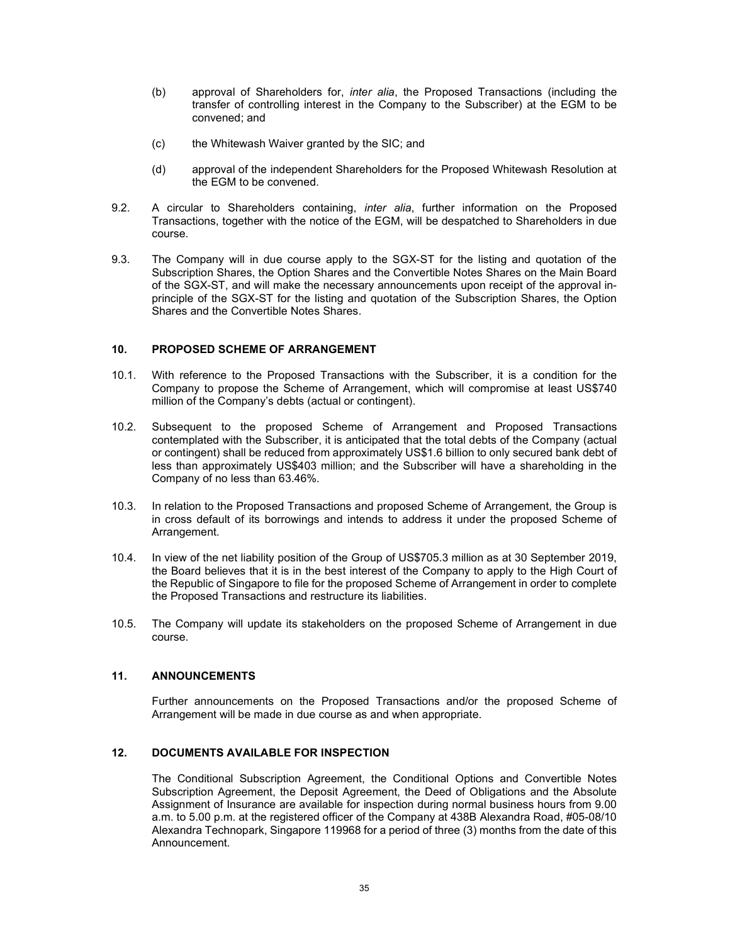- (b) approval of Shareholders for, inter alia, the Proposed Transactions (including the transfer of controlling interest in the Company to the Subscriber) at the EGM to be convened; and
- (c) the Whitewash Waiver granted by the SIC; and
- (d) approval of the independent Shareholders for the Proposed Whitewash Resolution at the EGM to be convened.
- 9.2. A circular to Shareholders containing, inter alia, further information on the Proposed Transactions, together with the notice of the EGM, will be despatched to Shareholders in due course.
- 9.3. The Company will in due course apply to the SGX-ST for the listing and quotation of the Subscription Shares, the Option Shares and the Convertible Notes Shares on the Main Board of the SGX-ST, and will make the necessary announcements upon receipt of the approval inprinciple of the SGX-ST for the listing and quotation of the Subscription Shares, the Option Shares and the Convertible Notes Shares.

## 10. PROPOSED SCHEME OF ARRANGEMENT

- 10.1. With reference to the Proposed Transactions with the Subscriber, it is a condition for the Company to propose the Scheme of Arrangement, which will compromise at least US\$740 million of the Company's debts (actual or contingent).
- 10.2. Subsequent to the proposed Scheme of Arrangement and Proposed Transactions contemplated with the Subscriber, it is anticipated that the total debts of the Company (actual or contingent) shall be reduced from approximately US\$1.6 billion to only secured bank debt of less than approximately US\$403 million; and the Subscriber will have a shareholding in the Company of no less than 63.46%.
- 10.3. In relation to the Proposed Transactions and proposed Scheme of Arrangement, the Group is in cross default of its borrowings and intends to address it under the proposed Scheme of Arrangement.
- 10.4. In view of the net liability position of the Group of US\$705.3 million as at 30 September 2019, the Board believes that it is in the best interest of the Company to apply to the High Court of the Republic of Singapore to file for the proposed Scheme of Arrangement in order to complete the Proposed Transactions and restructure its liabilities.
- 10.5. The Company will update its stakeholders on the proposed Scheme of Arrangement in due course.

## 11. ANNOUNCEMENTS

Further announcements on the Proposed Transactions and/or the proposed Scheme of Arrangement will be made in due course as and when appropriate.

## 12. DOCUMENTS AVAILABLE FOR INSPECTION

The Conditional Subscription Agreement, the Conditional Options and Convertible Notes Subscription Agreement, the Deposit Agreement, the Deed of Obligations and the Absolute Assignment of Insurance are available for inspection during normal business hours from 9.00 a.m. to 5.00 p.m. at the registered officer of the Company at 438B Alexandra Road, #05-08/10 Alexandra Technopark, Singapore 119968 for a period of three (3) months from the date of this Announcement.